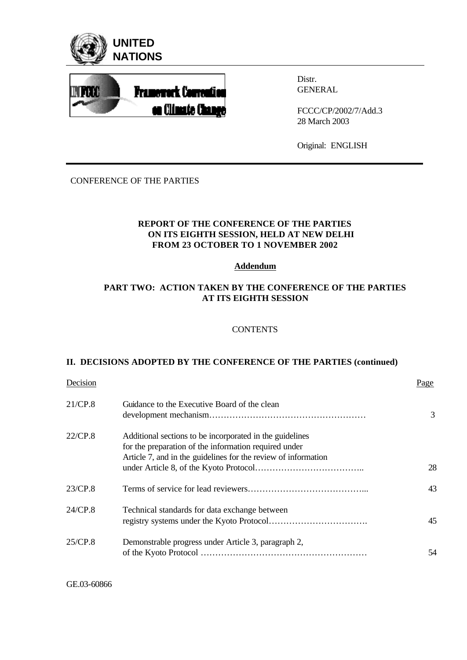



Distr. GENERAL

FCCC/CP/2002/7/Add.3 28 March 2003

Original: ENGLISH

# CONFERENCE OF THE PARTIES

# **REPORT OF THE CONFERENCE OF THE PARTIES ON ITS EIGHTH SESSION, HELD AT NEW DELHI FROM 23 OCTOBER TO 1 NOVEMBER 2002**

### **Addendum**

# **PART TWO: ACTION TAKEN BY THE CONFERENCE OF THE PARTIES AT ITS EIGHTH SESSION**

### **CONTENTS**

# **II. DECISIONS ADOPTED BY THE CONFERENCE OF THE PARTIES (continued)**

| Decision |                                                                                                                                                                                     | Page |
|----------|-------------------------------------------------------------------------------------------------------------------------------------------------------------------------------------|------|
| 21/CP.8  | Guidance to the Executive Board of the clean                                                                                                                                        | 3    |
| 22/CP.8  | Additional sections to be incorporated in the guidelines<br>for the preparation of the information required under<br>Article 7, and in the guidelines for the review of information | 28   |
| 23/CP.8  |                                                                                                                                                                                     | 43   |
| 24/CP.8  | Technical standards for data exchange between                                                                                                                                       | 45   |
| 25/CP.8  | Demonstrable progress under Article 3, paragraph 2,                                                                                                                                 | 54   |

GE.03-60866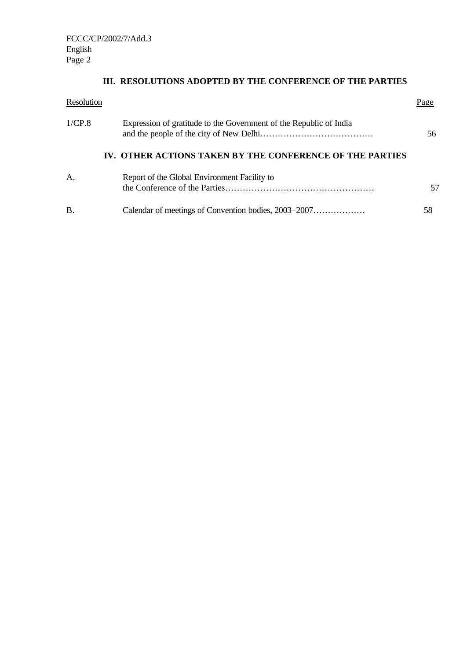# **III. RESOLUTIONS ADOPTED BY THE CONFERENCE OF THE PARTIES**

| Resolution |                                                                    | Page |
|------------|--------------------------------------------------------------------|------|
| 1/CP.8     | Expression of gratitude to the Government of the Republic of India | 56   |
|            | IV. OTHER ACTIONS TAKEN BY THE CONFERENCE OF THE PARTIES           |      |
| A.         | Report of the Global Environment Facility to                       | 57   |
| В.         |                                                                    | 58   |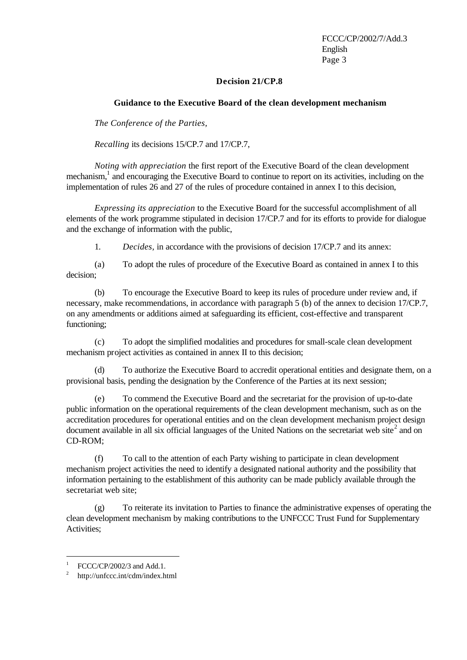### **Decision 21/CP.8**

### **Guidance to the Executive Board of the clean development mechanism**

*The Conference of the Parties,* 

*Recalling* its decisions 15/CP.7 and 17/CP.7,

*Noting with appreciation* the first report of the Executive Board of the clean development mechanism,<sup>1</sup> and encouraging the Executive Board to continue to report on its activities, including on the implementation of rules 26 and 27 of the rules of procedure contained in annex I to this decision,

*Expressing its appreciation* to the Executive Board for the successful accomplishment of all elements of the work programme stipulated in decision 17/CP.7 and for its efforts to provide for dialogue and the exchange of information with the public,

1. *Decides,* in accordance with the provisions of decision 17/CP.7 and its annex:

(a) To adopt the rules of procedure of the Executive Board as contained in annex I to this decision;

(b) To encourage the Executive Board to keep its rules of procedure under review and, if necessary, make recommendations, in accordance with paragraph 5 (b) of the annex to decision 17/CP.7, on any amendments or additions aimed at safeguarding its efficient, cost-effective and transparent functioning;

(c) To adopt the simplified modalities and procedures for small-scale clean development mechanism project activities as contained in annex II to this decision;

(d) To authorize the Executive Board to accredit operational entities and designate them, on a provisional basis, pending the designation by the Conference of the Parties at its next session;

(e) To commend the Executive Board and the secretariat for the provision of up-to-date public information on the operational requirements of the clean development mechanism, such as on the accreditation procedures for operational entities and on the clean development mechanism project design document available in all six official languages of the United Nations on the secretariat web site<sup>2</sup> and on CD-ROM;

(f) To call to the attention of each Party wishing to participate in clean development mechanism project activities the need to identify a designated national authority and the possibility that information pertaining to the establishment of this authority can be made publicly available through the secretariat web site;

(g) To reiterate its invitation to Parties to finance the administrative expenses of operating the clean development mechanism by making contributions to the UNFCCC Trust Fund for Supplementary Activities;

j

<sup>1</sup> FCCC/CP/2002/3 and Add.1.

<sup>2</sup> http://unfccc.int/cdm/index.html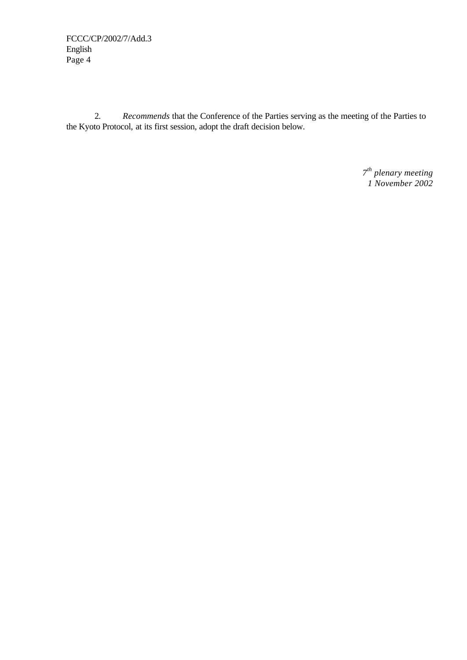2. *Recommends* that the Conference of the Parties serving as the meeting of the Parties to the Kyoto Protocol, at its first session, adopt the draft decision below.

> *7 th plenary meeting 1 November 2002*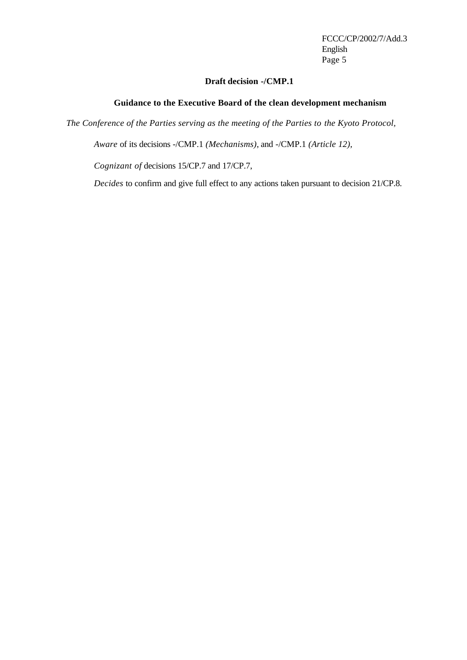# **Draft decision -/CMP.1**

### **Guidance to the Executive Board of the clean development mechanism**

*The Conference of the Parties serving as the meeting of the Parties to the Kyoto Protocol,*

*Aware* of its decisions -/CMP.1 *(Mechanisms)*, and -/CMP.1 *(Article 12),*

*Cognizant of* decisions 15/CP.7 and 17/CP.7,

*Decides* to confirm and give full effect to any actions taken pursuant to decision 21/CP.8.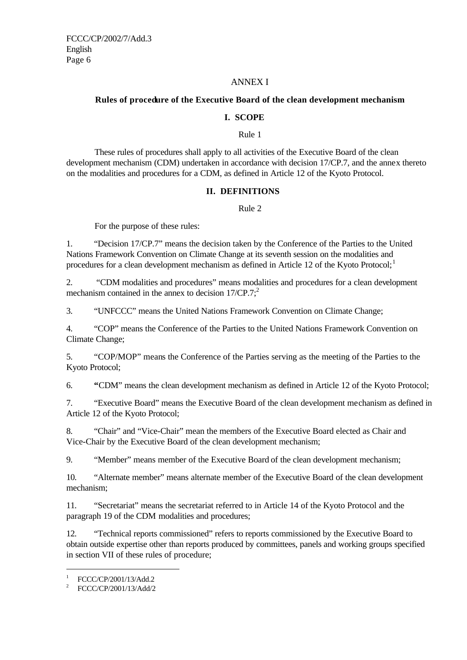### ANNEX I

# **Rules of procedure of the Executive Board of the clean development mechanism**

### **I. SCOPE**

Rule 1

These rules of procedures shall apply to all activities of the Executive Board of the clean development mechanism (CDM) undertaken in accordance with decision 17/CP.7, and the annex thereto on the modalities and procedures for a CDM, as defined in Article 12 of the Kyoto Protocol.

# **II. DEFINITIONS**

Rule 2

For the purpose of these rules:

1. "Decision 17/CP.7" means the decision taken by the Conference of the Parties to the United Nations Framework Convention on Climate Change at its seventh session on the modalities and procedures for a clean development mechanism as defined in Article 12 of the Kyoto Protocol;<sup>1</sup>

2. "CDM modalities and procedures" means modalities and procedures for a clean development mechanism contained in the annex to decision  $17/CP.7$ ;<sup>2</sup>

3. "UNFCCC" means the United Nations Framework Convention on Climate Change;

4. "COP" means the Conference of the Parties to the United Nations Framework Convention on Climate Change;

5. "COP/MOP" means the Conference of the Parties serving as the meeting of the Parties to the Kyoto Protocol;

6. **"**CDM" means the clean development mechanism as defined in Article 12 of the Kyoto Protocol;

7. "Executive Board" means the Executive Board of the clean development mechanism as defined in Article 12 of the Kyoto Protocol;

8. "Chair" and "Vice-Chair" mean the members of the Executive Board elected as Chair and Vice-Chair by the Executive Board of the clean development mechanism;

9. "Member" means member of the Executive Board of the clean development mechanism;

10. "Alternate member" means alternate member of the Executive Board of the clean development mechanism;

11. "Secretariat" means the secretariat referred to in Article 14 of the Kyoto Protocol and the paragraph 19 of the CDM modalities and procedures;

12. "Technical reports commissioned" refers to reports commissioned by the Executive Board to obtain outside expertise other than reports produced by committees, panels and working groups specified in section VII of these rules of procedure;

j

<sup>1</sup> FCCC/CP/2001/13/Add.2

<sup>&</sup>lt;sup>2</sup> FCCC/CP/2001/13/Add/2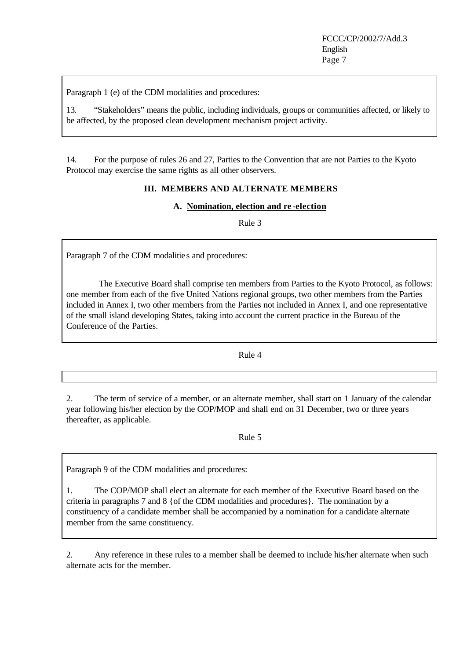Paragraph 1 (e) of the CDM modalities and procedures:

13. "Stakeholders" means the public, including individuals, groups or communities affected, or likely to be affected, by the proposed clean development mechanism project activity.

14. For the purpose of rules 26 and 27, Parties to the Convention that are not Parties to the Kyoto Protocol may exercise the same rights as all other observers.

# **III. MEMBERS AND ALTERNATE MEMBERS**

### **A. Nomination, election and re -election**

Rule 3

Paragraph 7 of the CDM modalities and procedures:

 The Executive Board shall comprise ten members from Parties to the Kyoto Protocol, as follows: one member from each of the five United Nations regional groups, two other members from the Parties included in Annex I, two other members from the Parties not included in Annex I, and one representative of the small island developing States, taking into account the current practice in the Bureau of the Conference of the Parties.

Rule 4

2. The term of service of a member, or an alternate member, shall start on 1 January of the calendar year following his/her election by the COP/MOP and shall end on 31 December, two or three years thereafter, as applicable.

Rule 5

Paragraph 9 of the CDM modalities and procedures:

1. The COP/MOP shall elect an alternate for each member of the Executive Board based on the criteria in paragraphs 7 and 8 {of the CDM modalities and procedures}. The nomination by a constituency of a candidate member shall be accompanied by a nomination for a candidate alternate member from the same constituency.

2. Any reference in these rules to a member shall be deemed to include his/her alternate when such alternate acts for the member.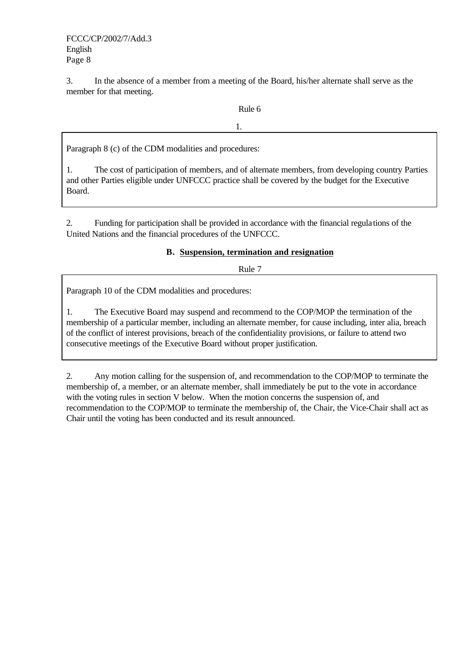3. In the absence of a member from a meeting of the Board, his/her alternate shall serve as the member for that meeting.

1.

# Rule 6

Paragraph 8 (c) of the CDM modalities and procedures:

1. The cost of participation of members, and of alternate members, from developing country Parties and other Parties eligible under UNFCCC practice shall be covered by the budget for the Executive Board.

2. Funding for participation shall be provided in accordance with the financial regulations of the United Nations and the financial procedures of the UNFCCC.

# **B. Suspension, termination and resignation**

Rule 7

Paragraph 10 of the CDM modalities and procedures:

1. The Executive Board may suspend and recommend to the COP/MOP the termination of the membership of a particular member, including an alternate member, for cause including, inter alia, breach of the conflict of interest provisions, breach of the confidentiality provisions, or failure to attend two consecutive meetings of the Executive Board without proper justification.

2. Any motion calling for the suspension of, and recommendation to the COP/MOP to terminate the membership of, a member, or an alternate member, shall immediately be put to the vote in accordance with the voting rules in section V below. When the motion concerns the suspension of, and recommendation to the COP/MOP to terminate the membership of, the Chair, the Vice-Chair shall act as Chair until the voting has been conducted and its result announced.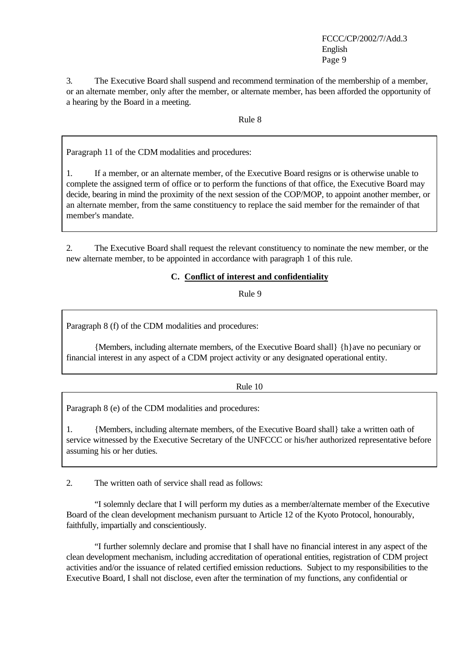3. The Executive Board shall suspend and recommend termination of the membership of a member, or an alternate member, only after the member, or alternate member, has been afforded the opportunity of a hearing by the Board in a meeting.

Rule 8

Paragraph 11 of the CDM modalities and procedures:

1. If a member, or an alternate member, of the Executive Board resigns or is otherwise unable to complete the assigned term of office or to perform the functions of that office, the Executive Board may decide, bearing in mind the proximity of the next session of the COP/MOP, to appoint another member, or an alternate member, from the same constituency to replace the said member for the remainder of that member's mandate.

2. The Executive Board shall request the relevant constituency to nominate the new member, or the new alternate member, to be appointed in accordance with paragraph 1 of this rule.

# **C. Conflict of interest and confidentiality**

Rule 9

Paragraph 8 (f) of the CDM modalities and procedures:

{Members, including alternate members, of the Executive Board shall} {h}ave no pecuniary or financial interest in any aspect of a CDM project activity or any designated operational entity.

### Rule 10

Paragraph 8 (e) of the CDM modalities and procedures:

1. {Members, including alternate members, of the Executive Board shall} take a written oath of service witnessed by the Executive Secretary of the UNFCCC or his/her authorized representative before assuming his or her duties.

2. The written oath of service shall read as follows:

"I solemnly declare that I will perform my duties as a member/alternate member of the Executive Board of the clean development mechanism pursuant to Article 12 of the Kyoto Protocol, honourably, faithfully, impartially and conscientiously.

"I further solemnly declare and promise that I shall have no financial interest in any aspect of the clean development mechanism, including accreditation of operational entities, registration of CDM project activities and/or the issuance of related certified emission reductions. Subject to my responsibilities to the Executive Board, I shall not disclose, even after the termination of my functions, any confidential or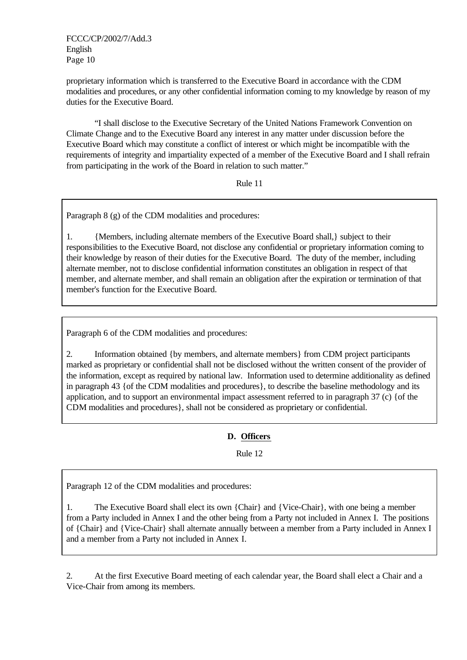proprietary information which is transferred to the Executive Board in accordance with the CDM modalities and procedures, or any other confidential information coming to my knowledge by reason of my duties for the Executive Board.

"I shall disclose to the Executive Secretary of the United Nations Framework Convention on Climate Change and to the Executive Board any interest in any matter under discussion before the Executive Board which may constitute a conflict of interest or which might be incompatible with the requirements of integrity and impartiality expected of a member of the Executive Board and I shall refrain from participating in the work of the Board in relation to such matter."

Rule 11

Paragraph 8 (g) of the CDM modalities and procedures:

1. {Members, including alternate members of the Executive Board shall,} subject to their responsibilities to the Executive Board, not disclose any confidential or proprietary information coming to their knowledge by reason of their duties for the Executive Board. The duty of the member, including alternate member, not to disclose confidential information constitutes an obligation in respect of that member, and alternate member, and shall remain an obligation after the expiration or termination of that member's function for the Executive Board.

Paragraph 6 of the CDM modalities and procedures:

2. Information obtained {by members, and alternate members} from CDM project participants marked as proprietary or confidential shall not be disclosed without the written consent of the provider of the information, except as required by national law. Information used to determine additionality as defined in paragraph 43 {of the CDM modalities and procedures}, to describe the baseline methodology and its application, and to support an environmental impact assessment referred to in paragraph 37 (c) {of the CDM modalities and procedures}, shall not be considered as proprietary or confidential.

# **D. Officers**

Rule 12

Paragraph 12 of the CDM modalities and procedures:

1. The Executive Board shall elect its own {Chair} and {Vice-Chair}, with one being a member from a Party included in Annex I and the other being from a Party not included in Annex I. The positions of {Chair} and {Vice-Chair} shall alternate annually between a member from a Party included in Annex I and a member from a Party not included in Annex I.

2. At the first Executive Board meeting of each calendar year, the Board shall elect a Chair and a Vice-Chair from among its members.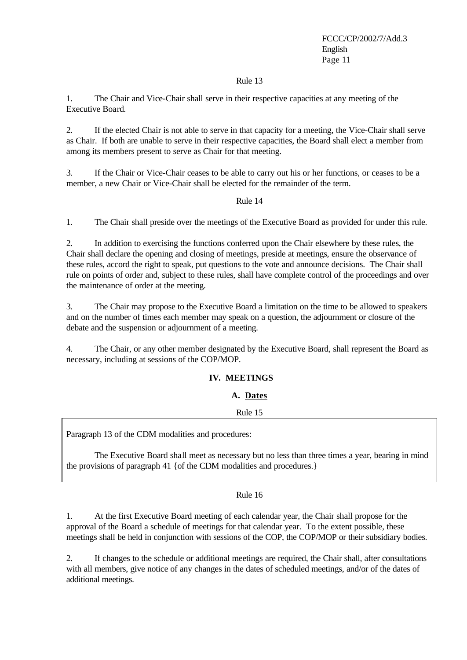### Rule 13

1. The Chair and Vice-Chair shall serve in their respective capacities at any meeting of the Executive Board.

2. If the elected Chair is not able to serve in that capacity for a meeting, the Vice-Chair shall serve as Chair. If both are unable to serve in their respective capacities, the Board shall elect a member from among its members present to serve as Chair for that meeting.

3. If the Chair or Vice-Chair ceases to be able to carry out his or her functions, or ceases to be a member, a new Chair or Vice-Chair shall be elected for the remainder of the term.

# Rule 14

1. The Chair shall preside over the meetings of the Executive Board as provided for under this rule.

2. In addition to exercising the functions conferred upon the Chair elsewhere by these rules, the Chair shall declare the opening and closing of meetings, preside at meetings, ensure the observance of these rules, accord the right to speak, put questions to the vote and announce decisions. The Chair shall rule on points of order and, subject to these rules, shall have complete control of the proceedings and over the maintenance of order at the meeting.

3. The Chair may propose to the Executive Board a limitation on the time to be allowed to speakers and on the number of times each member may speak on a question, the adjournment or closure of the debate and the suspension or adjournment of a meeting.

4. The Chair, or any other member designated by the Executive Board, shall represent the Board as necessary, including at sessions of the COP/MOP.

# **IV. MEETINGS**

### **A. Dates**

Rule 15

Paragraph 13 of the CDM modalities and procedures:

The Executive Board shall meet as necessary but no less than three times a year, bearing in mind the provisions of paragraph 41 {of the CDM modalities and procedures.}

### Rule 16

1. At the first Executive Board meeting of each calendar year, the Chair shall propose for the approval of the Board a schedule of meetings for that calendar year. To the extent possible, these meetings shall be held in conjunction with sessions of the COP, the COP/MOP or their subsidiary bodies.

2. If changes to the schedule or additional meetings are required, the Chair shall, after consultations with all members, give notice of any changes in the dates of scheduled meetings, and/or of the dates of additional meetings.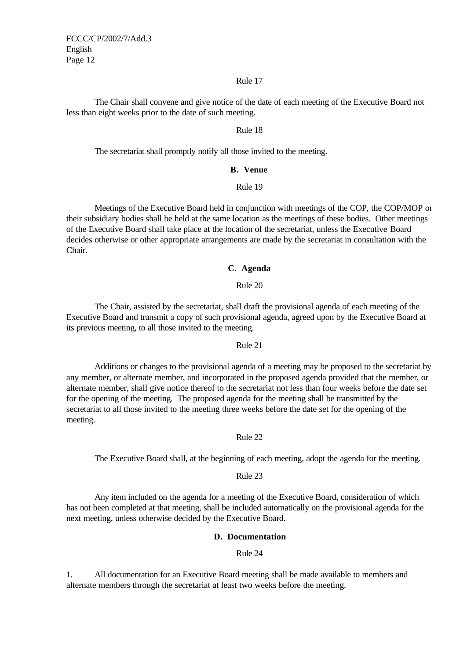#### Rule 17

The Chair shall convene and give notice of the date of each meeting of the Executive Board not less than eight weeks prior to the date of such meeting.

#### Rule 18

The secretariat shall promptly notify all those invited to the meeting.

#### **B. Venue**

### Rule 19

Meetings of the Executive Board held in conjunction with meetings of the COP, the COP/MOP or their subsidiary bodies shall be held at the same location as the meetings of these bodies. Other meetings of the Executive Board shall take place at the location of the secretariat, unless the Executive Board decides otherwise or other appropriate arrangements are made by the secretariat in consultation with the Chair.

### **C. Agenda**

#### Rule 20

The Chair, assisted by the secretariat, shall draft the provisional agenda of each meeting of the Executive Board and transmit a copy of such provisional agenda, agreed upon by the Executive Board at its previous meeting, to all those invited to the meeting.

#### Rule 21

Additions or changes to the provisional agenda of a meeting may be proposed to the secretariat by any member, or alternate member, and incorporated in the proposed agenda provided that the member, or alternate member, shall give notice thereof to the secretariat not less than four weeks before the date set for the opening of the meeting. The proposed agenda for the meeting shall be transmitted by the secretariat to all those invited to the meeting three weeks before the date set for the opening of the meeting.

#### Rule 22

The Executive Board shall, at the beginning of each meeting, adopt the agenda for the meeting.

### Rule 23

Any item included on the agenda for a meeting of the Executive Board, consideration of which has not been completed at that meeting, shall be included automatically on the provisional agenda for the next meeting, unless otherwise decided by the Executive Board.

### **D. Documentation**

#### Rule 24

1. All documentation for an Executive Board meeting shall be made available to members and alternate members through the secretariat at least two weeks before the meeting.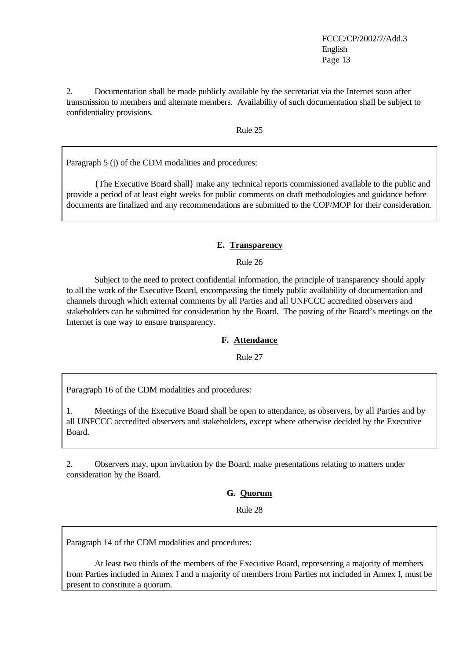2. Documentation shall be made publicly available by the secretariat via the Internet soon after transmission to members and alternate members. Availability of such documentation shall be subject to confidentiality provisions.

Rule 25

Paragraph 5 (j) of the CDM modalities and procedures:

{The Executive Board shall} make any technical reports commissioned available to the public and provide a period of at least eight weeks for public comments on draft methodologies and guidance before documents are finalized and any recommendations are submitted to the COP/MOP for their consideration.

### **E. Transparency**

Rule 26

Subject to the need to protect confidential information, the principle of transparency should apply to all the work of the Executive Board, encompassing the timely public availability of documentation and channels through which external comments by all Parties and all UNFCCC accredited observers and stakeholders can be submitted for consideration by the Board. The posting of the Board's meetings on the Internet is one way to ensure transparency.

#### **F. Attendance**

Rule 27

Paragraph 16 of the CDM modalities and procedures:

1. Meetings of the Executive Board shall be open to attendance, as observers, by all Parties and by all UNFCCC accredited observers and stakeholders, except where otherwise decided by the Executive Board.

2. Observers may, upon invitation by the Board, make presentations relating to matters under consideration by the Board.

**G. Quorum**

Rule 28

Paragraph 14 of the CDM modalities and procedures:

At least two thirds of the members of the Executive Board, representing a majority of members from Parties included in Annex I and a majority of members from Parties not included in Annex I, must be present to constitute a quorum.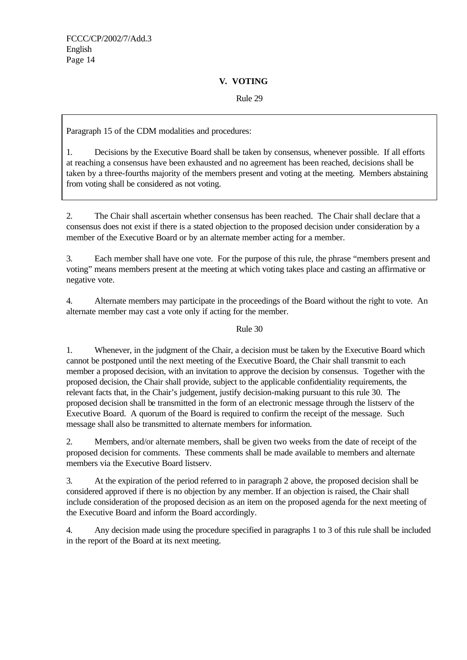# **V. VOTING**

# Rule 29

Paragraph 15 of the CDM modalities and procedures:

1. Decisions by the Executive Board shall be taken by consensus, whenever possible. If all efforts at reaching a consensus have been exhausted and no agreement has been reached, decisions shall be taken by a three-fourths majority of the members present and voting at the meeting. Members abstaining from voting shall be considered as not voting.

2. The Chair shall ascertain whether consensus has been reached. The Chair shall declare that a consensus does not exist if there is a stated objection to the proposed decision under consideration by a member of the Executive Board or by an alternate member acting for a member.

3. Each member shall have one vote. For the purpose of this rule, the phrase "members present and voting" means members present at the meeting at which voting takes place and casting an affirmative or negative vote.

4. Alternate members may participate in the proceedings of the Board without the right to vote. An alternate member may cast a vote only if acting for the member.

# Rule 30

1. Whenever, in the judgment of the Chair, a decision must be taken by the Executive Board which cannot be postponed until the next meeting of the Executive Board, the Chair shall transmit to each member a proposed decision, with an invitation to approve the decision by consensus. Together with the proposed decision, the Chair shall provide, subject to the applicable confidentiality requirements, the relevant facts that, in the Chair's judgement, justify decision-making pursuant to this rule 30. The proposed decision shall be transmitted in the form of an electronic message through the listserv of the Executive Board. A quorum of the Board is required to confirm the receipt of the message. Such message shall also be transmitted to alternate members for information.

2. Members, and/or alternate members, shall be given two weeks from the date of receipt of the proposed decision for comments. These comments shall be made available to members and alternate members via the Executive Board listserv.

3. At the expiration of the period referred to in paragraph 2 above, the proposed decision shall be considered approved if there is no objection by any member. If an objection is raised, the Chair shall include consideration of the proposed decision as an item on the proposed agenda for the next meeting of the Executive Board and inform the Board accordingly.

4. Any decision made using the procedure specified in paragraphs 1 to 3 of this rule shall be included in the report of the Board at its next meeting.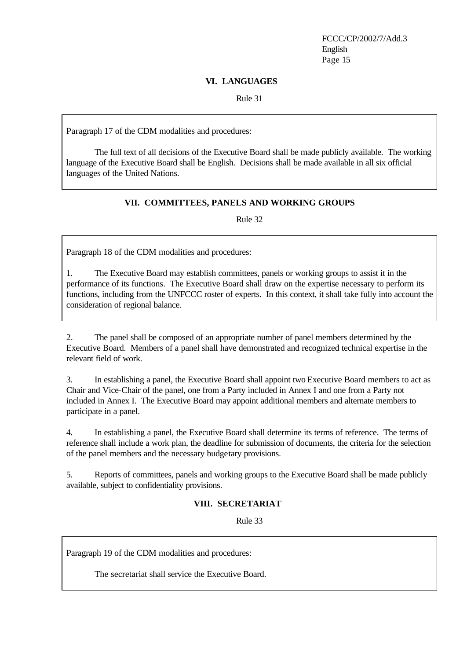### **VI. LANGUAGES**

Rule 31

Paragraph 17 of the CDM modalities and procedures:

The full text of all decisions of the Executive Board shall be made publicly available. The working language of the Executive Board shall be English. Decisions shall be made available in all six official languages of the United Nations.

# **VII. COMMITTEES, PANELS AND WORKING GROUPS**

Rule 32

Paragraph 18 of the CDM modalities and procedures:

1. The Executive Board may establish committees, panels or working groups to assist it in the performance of its functions. The Executive Board shall draw on the expertise necessary to perform its functions, including from the UNFCCC roster of experts. In this context, it shall take fully into account the consideration of regional balance.

2. The panel shall be composed of an appropriate number of panel members determined by the Executive Board. Members of a panel shall have demonstrated and recognized technical expertise in the relevant field of work.

3. In establishing a panel, the Executive Board shall appoint two Executive Board members to act as Chair and Vice-Chair of the panel, one from a Party included in Annex I and one from a Party not included in Annex I. The Executive Board may appoint additional members and alternate members to participate in a panel.

4. In establishing a panel, the Executive Board shall determine its terms of reference. The terms of reference shall include a work plan, the deadline for submission of documents, the criteria for the selection of the panel members and the necessary budgetary provisions.

5. Reports of committees, panels and working groups to the Executive Board shall be made publicly available, subject to confidentiality provisions.

# **VIII. SECRETARIAT**

Rule 33

Paragraph 19 of the CDM modalities and procedures:

The secretariat shall service the Executive Board.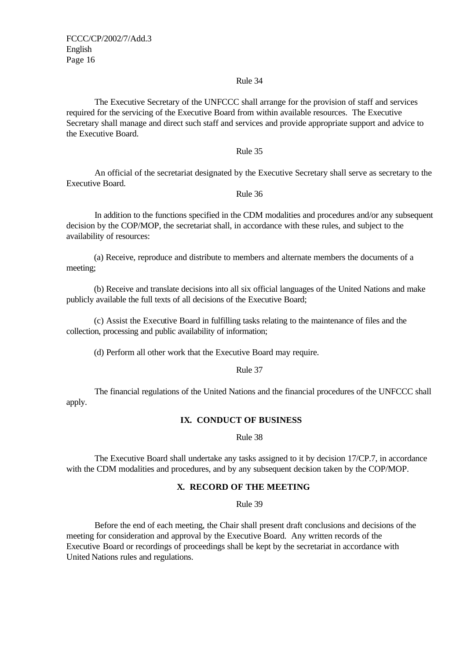### Rule 34

The Executive Secretary of the UNFCCC shall arrange for the provision of staff and services required for the servicing of the Executive Board from within available resources. The Executive Secretary shall manage and direct such staff and services and provide appropriate support and advice to the Executive Board.

#### Rule 35

An official of the secretariat designated by the Executive Secretary shall serve as secretary to the Executive Board.

#### Rule 36

In addition to the functions specified in the CDM modalities and procedures and/or any subsequent decision by the COP/MOP, the secretariat shall, in accordance with these rules, and subject to the availability of resources:

(a) Receive, reproduce and distribute to members and alternate members the documents of a meeting;

(b) Receive and translate decisions into all six official languages of the United Nations and make publicly available the full texts of all decisions of the Executive Board;

(c) Assist the Executive Board in fulfilling tasks relating to the maintenance of files and the collection, processing and public availability of information;

(d) Perform all other work that the Executive Board may require.

Rule 37

The financial regulations of the United Nations and the financial procedures of the UNFCCC shall apply.

#### **IX. CONDUCT OF BUSINESS**

Rule 38

The Executive Board shall undertake any tasks assigned to it by decision 17/CP.7, in accordance with the CDM modalities and procedures, and by any subsequent decision taken by the COP/MOP.

### **X. RECORD OF THE MEETING**

Rule 39

Before the end of each meeting, the Chair shall present draft conclusions and decisions of the meeting for consideration and approval by the Executive Board. Any written records of the Executive Board or recordings of proceedings shall be kept by the secretariat in accordance with United Nations rules and regulations.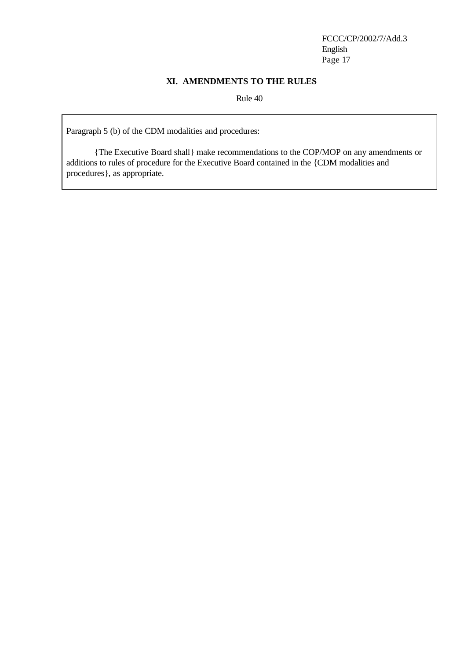### **XI. AMENDMENTS TO THE RULES**

Rule 40

Paragraph 5 (b) of the CDM modalities and procedures:

{The Executive Board shall} make recommendations to the COP/MOP on any amendments or additions to rules of procedure for the Executive Board contained in the {CDM modalities and procedures}, as appropriate.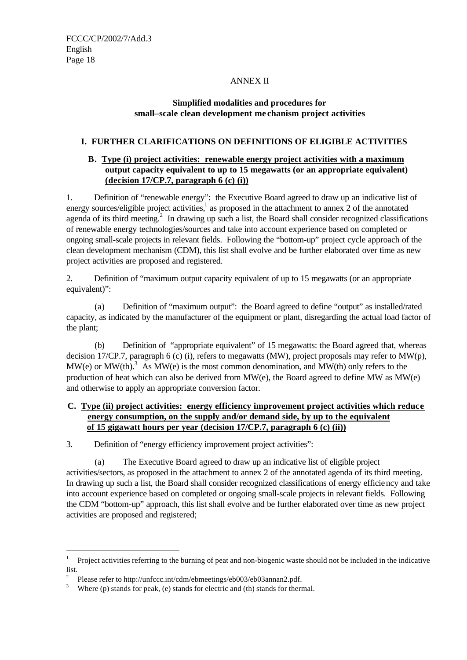# ANNEX II

# **Simplified modalities and procedures for small–scale clean development me chanism project activities**

# **I. FURTHER CLARIFICATIONS ON DEFINITIONS OF ELIGIBLE ACTIVITIES**

# **B. Type (i) project activities: renewable energy project activities with a maximum output capacity equivalent to up to 15 megawatts (or an appropriate equivalent) (decision 17/CP.7, paragraph 6 (c) (i))**

1. Definition of "renewable energy": the Executive Board agreed to draw up an indicative list of energy sources/eligible project activities,<sup>1</sup> as proposed in the attachment to annex  $\overline{2}$  of the annotated agenda of its third meeting.<sup>2</sup> In drawing up such a list, the Board shall consider recognized classifications of renewable energy technologies/sources and take into account experience based on completed or ongoing small-scale projects in relevant fields. Following the "bottom-up" project cycle approach of the clean development mechanism (CDM), this list shall evolve and be further elaborated over time as new project activities are proposed and registered.

2. Definition of "maximum output capacity equivalent of up to 15 megawatts (or an appropriate equivalent)":

(a) Definition of "maximum output": the Board agreed to define "output" as installed/rated capacity, as indicated by the manufacturer of the equipment or plant, disregarding the actual load factor of the plant;

(b) Definition of "appropriate equivalent" of 15 megawatts: the Board agreed that, whereas decision 17/CP.7, paragraph 6 (c) (i), refers to megawatts (MW), project proposals may refer to MW(p),  $MW(e)$  or  $MW(th)$ .<sup>3</sup> As  $MW(e)$  is the most common denomination, and  $MW(th)$  only refers to the production of heat which can also be derived from MW(e), the Board agreed to define MW as MW(e) and otherwise to apply an appropriate conversion factor.

# **C. Type (ii) project activities: energy efficiency improvement project activities which reduce energy consumption, on the supply and/or demand side, by up to the equivalent of 15 gigawatt hours per year (decision 17/CP.7, paragraph 6 (c) (ii))**

3. Definition of "energy efficiency improvement project activities":

(a) The Executive Board agreed to draw up an indicative list of eligible project activities/sectors, as proposed in the attachment to annex 2 of the annotated agenda of its third meeting. In drawing up such a list, the Board shall consider recognized classifications of energy efficiency and take into account experience based on completed or ongoing small-scale projects in relevant fields. Following the CDM "bottom-up" approach, this list shall evolve and be further elaborated over time as new project activities are proposed and registered;

j

<sup>1</sup> Project activities referring to the burning of peat and non-biogenic waste should not be included in the indicative list.

<sup>2</sup> Please refer to http://unfccc.int/cdm/ebmeetings/eb003/eb03annan2.pdf.

<sup>3</sup> Where (p) stands for peak, (e) stands for electric and (th) stands for thermal.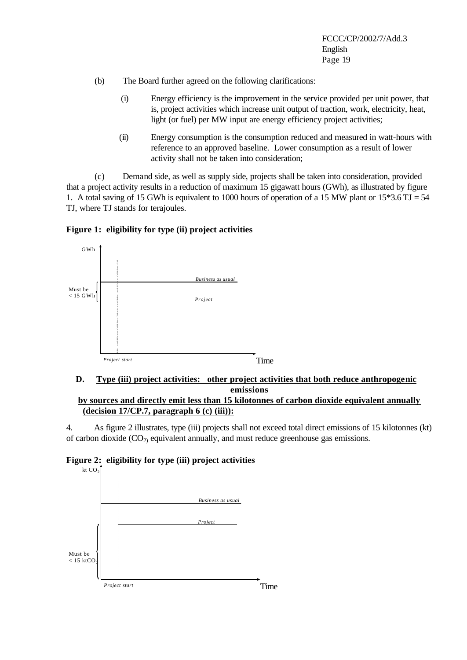- (b) The Board further agreed on the following clarifications:
	- (i) Energy efficiency is the improvement in the service provided per unit power, that is, project activities which increase unit output of traction, work, electricity, heat, light (or fuel) per MW input are energy efficiency project activities;
	- (ii) Energy consumption is the consumption reduced and measured in watt-hours with reference to an approved baseline. Lower consumption as a result of lower activity shall not be taken into consideration;

(c) Demand side, as well as supply side, projects shall be taken into consideration, provided that a project activity results in a reduction of maximum 15 gigawatt hours (GWh), as illustrated by figure 1. A total saving of 15 GWh is equivalent to 1000 hours of operation of a 15 MW plant or  $15*3.6$  TJ = 54 TJ, where TJ stands for terajoules.





# **D. Type (iii) project activities: other project activities that both reduce anthropogenic emissions by sources and directly emit less than 15 kilotonnes of carbon dioxide equivalent annually**

**(decision 17/CP.7, paragraph 6 (c) (iii)):** 

4. As figure 2 illustrates, type (iii) projects shall not exceed total direct emissions of 15 kilotonnes (kt) of carbon dioxide  $(CO_2)$  equivalent annually, and must reduce greenhouse gas emissions.



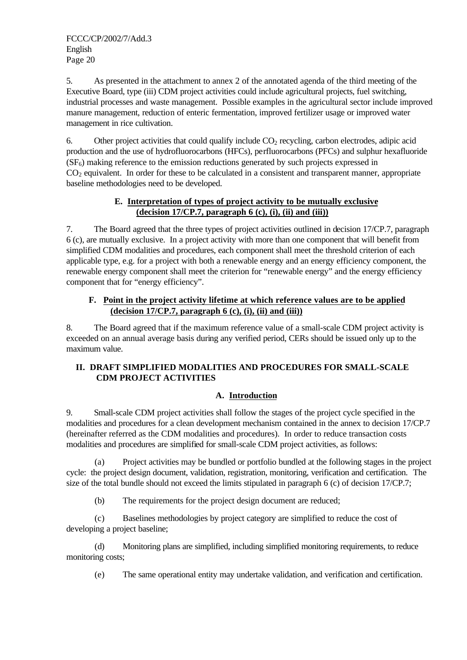5. As presented in the attachment to annex 2 of the annotated agenda of the third meeting of the Executive Board, type (iii) CDM project activities could include agricultural projects, fuel switching, industrial processes and waste management. Possible examples in the agricultural sector include improved manure management, reduction of enteric fermentation, improved fertilizer usage or improved water management in rice cultivation.

6. Other project activities that could qualify include  $CO<sub>2</sub>$  recycling, carbon electrodes, adipic acid production and the use of hydrofluorocarbons (HFCs), perfluorocarbons (PFCs) and sulphur hexafluoride  $(SF<sub>6</sub>)$  making reference to the emission reductions generated by such projects expressed in  $CO<sub>2</sub>$  equivalent. In order for these to be calculated in a consistent and transparent manner, appropriate baseline methodologies need to be developed.

# **E. Interpretation of types of project activity to be mutually exclusive (decision 17/CP.7, paragraph 6 (c), (i), (ii) and (iii))**

7. The Board agreed that the three types of project activities outlined in decision 17/CP.7, paragraph 6 (c), are mutually exclusive. In a project activity with more than one component that will benefit from simplified CDM modalities and procedures, each component shall meet the threshold criterion of each applicable type, e.g. for a project with both a renewable energy and an energy efficiency component, the renewable energy component shall meet the criterion for "renewable energy" and the energy efficiency component that for "energy efficiency".

# **F. Point in the project activity lifetime at which reference values are to be applied (decision 17/CP.7, paragraph 6 (c), (i), (ii) and (iii))**

8. The Board agreed that if the maximum reference value of a small-scale CDM project activity is exceeded on an annual average basis during any verified period, CERs should be issued only up to the maximum value.

# **II. DRAFT SIMPLIFIED MODALITIES AND PROCEDURES FOR SMALL-SCALE CDM PROJECT ACTIVITIES**

# **A. Introduction**

9. Small-scale CDM project activities shall follow the stages of the project cycle specified in the modalities and procedures for a clean development mechanism contained in the annex to decision 17/CP.7 (hereinafter referred as the CDM modalities and procedures). In order to reduce transaction costs modalities and procedures are simplified for small-scale CDM project activities, as follows:

(a) Project activities may be bundled or portfolio bundled at the following stages in the project cycle: the project design document, validation, registration, monitoring, verification and certification. The size of the total bundle should not exceed the limits stipulated in paragraph 6 (c) of decision 17/CP.7;

(b) The requirements for the project design document are reduced;

(c) Baselines methodologies by project category are simplified to reduce the cost of developing a project baseline;

(d) Monitoring plans are simplified, including simplified monitoring requirements, to reduce monitoring costs;

(e) The same operational entity may undertake validation, and verification and certification.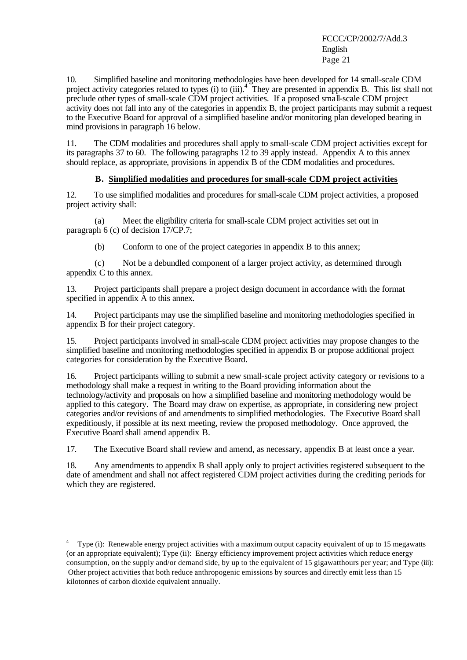10. Simplified baseline and monitoring methodologies have been developed for 14 small-scale CDM project activity categories related to types (i) to (iii).<sup>4</sup> They are presented in appendix B. This list shall not preclude other types of small-scale CDM project activities. If a proposed small-scale CDM project activity does not fall into any of the categories in appendix B, the project participants may submit a request to the Executive Board for approval of a simplified baseline and/or monitoring plan developed bearing in mind provisions in paragraph 16 below.

11. The CDM modalities and procedures shall apply to small-scale CDM project activities except for its paragraphs 37 to 60. The following paragraphs 12 to 39 apply instead. Appendix A to this annex should replace, as appropriate, provisions in appendix B of the CDM modalities and procedures.

### **B. Simplified modalities and procedures for small-scale CDM project activities**

12. To use simplified modalities and procedures for small-scale CDM project activities, a proposed project activity shall:

(a) Meet the eligibility criteria for small-scale CDM project activities set out in paragraph 6 (c) of decision 17/CP.7;

(b) Conform to one of the project categories in appendix B to this annex;

(c) Not be a debundled component of a larger project activity, as determined through appendix C to this annex.

13. Project participants shall prepare a project design document in accordance with the format specified in appendix A to this annex.

14. Project participants may use the simplified baseline and monitoring methodologies specified in appendix B for their project category.

15. Project participants involved in small-scale CDM project activities may propose changes to the simplified baseline and monitoring methodologies specified in appendix B or propose additional project categories for consideration by the Executive Board.

16. Project participants willing to submit a new small-scale project activity category or revisions to a methodology shall make a request in writing to the Board providing information about the technology/activity and proposals on how a simplified baseline and monitoring methodology would be applied to this category. The Board may draw on expertise, as appropriate, in considering new project categories and/or revisions of and amendments to simplified methodologies. The Executive Board shall expeditiously, if possible at its next meeting, review the proposed methodology. Once approved, the Executive Board shall amend appendix B.

17. The Executive Board shall review and amend, as necessary, appendix B at least once a year.

18. Any amendments to appendix B shall apply only to project activities registered subsequent to the date of amendment and shall not affect registered CDM project activities during the crediting periods for which they are registered.

j

<sup>4</sup> Type (i): Renewable energy project activities with a maximum output capacity equivalent of up to 15 megawatts (or an appropriate equivalent); Type (ii): Energy efficiency improvement project activities which reduce energy consumption, on the supply and/or demand side, by up to the equivalent of 15 gigawatthours per year; and Type (iii): Other project activities that both reduce anthropogenic emissions by sources and directly emit less than 15 kilotonnes of carbon dioxide equivalent annually.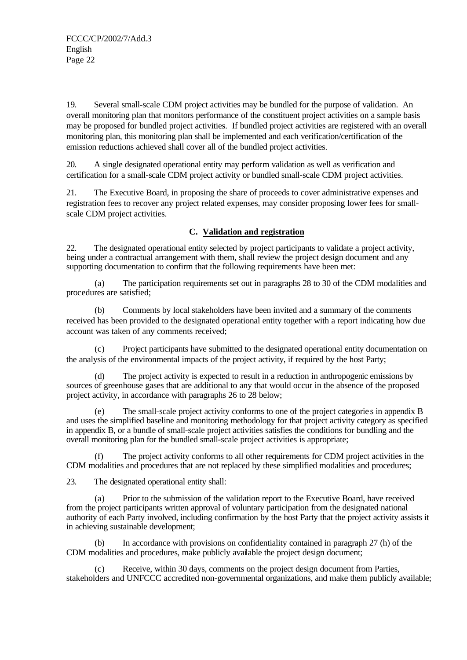19. Several small-scale CDM project activities may be bundled for the purpose of validation. An overall monitoring plan that monitors performance of the constituent project activities on a sample basis may be proposed for bundled project activities. If bundled project activities are registered with an overall monitoring plan, this monitoring plan shall be implemented and each verification/certification of the emission reductions achieved shall cover all of the bundled project activities.

20. A single designated operational entity may perform validation as well as verification and certification for a small-scale CDM project activity or bundled small-scale CDM project activities.

21. The Executive Board, in proposing the share of proceeds to cover administrative expenses and registration fees to recover any project related expenses, may consider proposing lower fees for smallscale CDM project activities.

# **C. Validation and registration**

22. The designated operational entity selected by project participants to validate a project activity, being under a contractual arrangement with them, shall review the project design document and any supporting documentation to confirm that the following requirements have been met:

(a) The participation requirements set out in paragraphs 28 to 30 of the CDM modalities and procedures are satisfied;

(b) Comments by local stakeholders have been invited and a summary of the comments received has been provided to the designated operational entity together with a report indicating how due account was taken of any comments received;

Project participants have submitted to the designated operational entity documentation on the analysis of the environmental impacts of the project activity, if required by the host Party;

(d) The project activity is expected to result in a reduction in anthropogenic emissions by sources of greenhouse gases that are additional to any that would occur in the absence of the proposed project activity, in accordance with paragraphs 26 to 28 below;

(e) The small-scale project activity conforms to one of the project categorie s in appendix B and uses the simplified baseline and monitoring methodology for that project activity category as specified in appendix B, or a bundle of small-scale project activities satisfies the conditions for bundling and the overall monitoring plan for the bundled small-scale project activities is appropriate;

(f) The project activity conforms to all other requirements for CDM project activities in the CDM modalities and procedures that are not replaced by these simplified modalities and procedures;

23. The designated operational entity shall:

(a) Prior to the submission of the validation report to the Executive Board, have received from the project participants written approval of voluntary participation from the designated national authority of each Party involved, including confirmation by the host Party that the project activity assists it in achieving sustainable development;

In accordance with provisions on confidentiality contained in paragraph 27 (h) of the CDM modalities and procedures, make publicly available the project design document;

(c) Receive, within 30 days, comments on the project design document from Parties, stakeholders and UNFCCC accredited non-governmental organizations, and make them publicly available;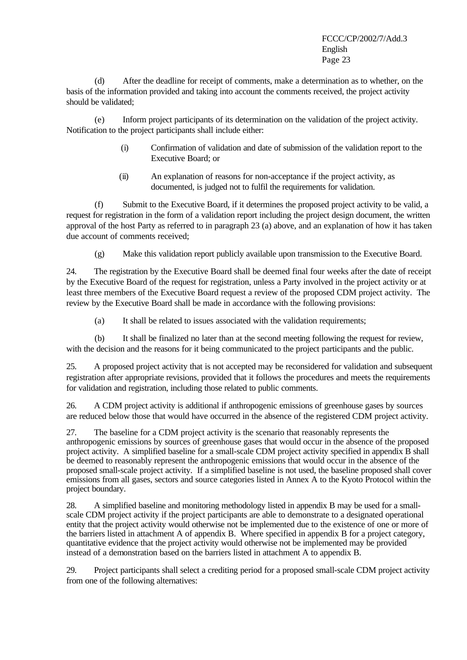(d) After the deadline for receipt of comments, make a determination as to whether, on the basis of the information provided and taking into account the comments received, the project activity should be validated;

(e) Inform project participants of its determination on the validation of the project activity. Notification to the project participants shall include either:

- (i) Confirmation of validation and date of submission of the validation report to the Executive Board; or
- (ii) An explanation of reasons for non-acceptance if the project activity, as documented, is judged not to fulfil the requirements for validation.

(f) Submit to the Executive Board, if it determines the proposed project activity to be valid, a request for registration in the form of a validation report including the project design document, the written approval of the host Party as referred to in paragraph 23 (a) above, and an explanation of how it has taken due account of comments received;

(g) Make this validation report publicly available upon transmission to the Executive Board.

24. The registration by the Executive Board shall be deemed final four weeks after the date of receipt by the Executive Board of the request for registration, unless a Party involved in the project activity or at least three members of the Executive Board request a review of the proposed CDM project activity. The review by the Executive Board shall be made in accordance with the following provisions:

(a) It shall be related to issues associated with the validation requirements;

(b) It shall be finalized no later than at the second meeting following the request for review, with the decision and the reasons for it being communicated to the project participants and the public.

25. A proposed project activity that is not accepted may be reconsidered for validation and subsequent registration after appropriate revisions, provided that it follows the procedures and meets the requirements for validation and registration, including those related to public comments.

26. A CDM project activity is additional if anthropogenic emissions of greenhouse gases by sources are reduced below those that would have occurred in the absence of the registered CDM project activity.

27. The baseline for a CDM project activity is the scenario that reasonably represents the anthropogenic emissions by sources of greenhouse gases that would occur in the absence of the proposed project activity. A simplified baseline for a small-scale CDM project activity specified in appendix B shall be deemed to reasonably represent the anthropogenic emissions that would occur in the absence of the proposed small-scale project activity. If a simplified baseline is not used, the baseline proposed shall cover emissions from all gases, sectors and source categories listed in Annex A to the Kyoto Protocol within the project boundary.

28. A simplified baseline and monitoring methodology listed in appendix B may be used for a smallscale CDM project activity if the project participants are able to demonstrate to a designated operational entity that the project activity would otherwise not be implemented due to the existence of one or more of the barriers listed in attachment A of appendix B. Where specified in appendix B for a project category, quantitative evidence that the project activity would otherwise not be implemented may be provided instead of a demonstration based on the barriers listed in attachment A to appendix B.

29. Project participants shall select a crediting period for a proposed small-scale CDM project activity from one of the following alternatives: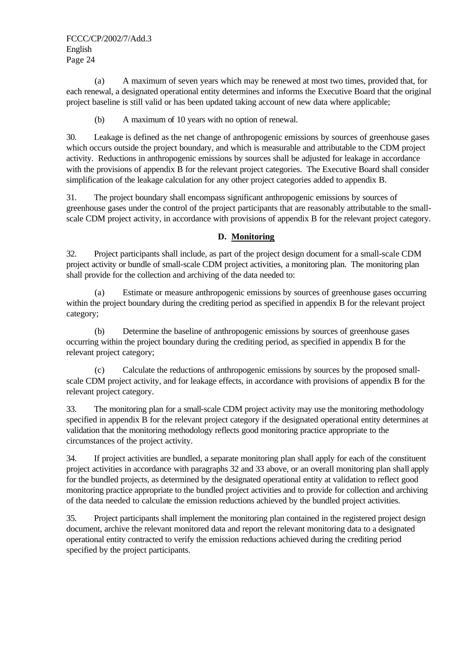(a) A maximum of seven years which may be renewed at most two times, provided that, for each renewal, a designated operational entity determines and informs the Executive Board that the original project baseline is still valid or has been updated taking account of new data where applicable;

(b) A maximum of 10 years with no option of renewal.

30. Leakage is defined as the net change of anthropogenic emissions by sources of greenhouse gases which occurs outside the project boundary, and which is measurable and attributable to the CDM project activity. Reductions in anthropogenic emissions by sources shall be adjusted for leakage in accordance with the provisions of appendix B for the relevant project categories. The Executive Board shall consider simplification of the leakage calculation for any other project categories added to appendix B.

31. The project boundary shall encompass significant anthropogenic emissions by sources of greenhouse gases under the control of the project participants that are reasonably attributable to the smallscale CDM project activity, in accordance with provisions of appendix B for the relevant project category.

# **D. Monitoring**

32. Project participants shall include, as part of the project design document for a small-scale CDM project activity or bundle of small-scale CDM project activities, a monitoring plan. The monitoring plan shall provide for the collection and archiving of the data needed to:

(a) Estimate or measure anthropogenic emissions by sources of greenhouse gases occurring within the project boundary during the crediting period as specified in appendix B for the relevant project category;

(b) Determine the baseline of anthropogenic emissions by sources of greenhouse gases occurring within the project boundary during the crediting period, as specified in appendix B for the relevant project category;

(c) Calculate the reductions of anthropogenic emissions by sources by the proposed smallscale CDM project activity, and for leakage effects, in accordance with provisions of appendix B for the relevant project category.

33. The monitoring plan for a small-scale CDM project activity may use the monitoring methodology specified in appendix B for the relevant project category if the designated operational entity determines at validation that the monitoring methodology reflects good monitoring practice appropriate to the circumstances of the project activity.

34. If project activities are bundled, a separate monitoring plan shall apply for each of the constituent project activities in accordance with paragraphs 32 and 33 above, or an overall monitoring plan shall apply for the bundled projects, as determined by the designated operational entity at validation to reflect good monitoring practice appropriate to the bundled project activities and to provide for collection and archiving of the data needed to calculate the emission reductions achieved by the bundled project activities.

35. Project participants shall implement the monitoring plan contained in the registered project design document, archive the relevant monitored data and report the relevant monitoring data to a designated operational entity contracted to verify the emission reductions achieved during the crediting period specified by the project participants.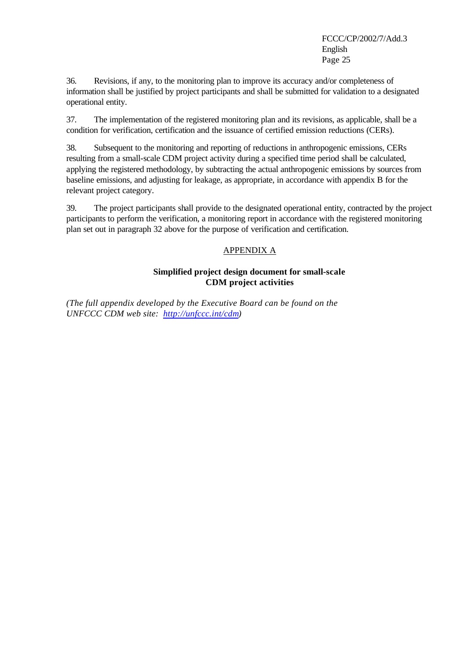36. Revisions, if any, to the monitoring plan to improve its accuracy and/or completeness of information shall be justified by project participants and shall be submitted for validation to a designated operational entity.

37. The implementation of the registered monitoring plan and its revisions, as applicable, shall be a condition for verification, certification and the issuance of certified emission reductions (CERs).

38. Subsequent to the monitoring and reporting of reductions in anthropogenic emissions, CERs resulting from a small-scale CDM project activity during a specified time period shall be calculated, applying the registered methodology, by subtracting the actual anthropogenic emissions by sources from baseline emissions, and adjusting for leakage, as appropriate, in accordance with appendix B for the relevant project category.

39. The project participants shall provide to the designated operational entity, contracted by the project participants to perform the verification, a monitoring report in accordance with the registered monitoring plan set out in paragraph 32 above for the purpose of verification and certification.

# APPENDIX A

# **Simplified project design document for small-scale CDM project activities**

*(The full appendix developed by the Executive Board can be found on the UNFCCC CDM web site: http://unfccc.int/cdm)*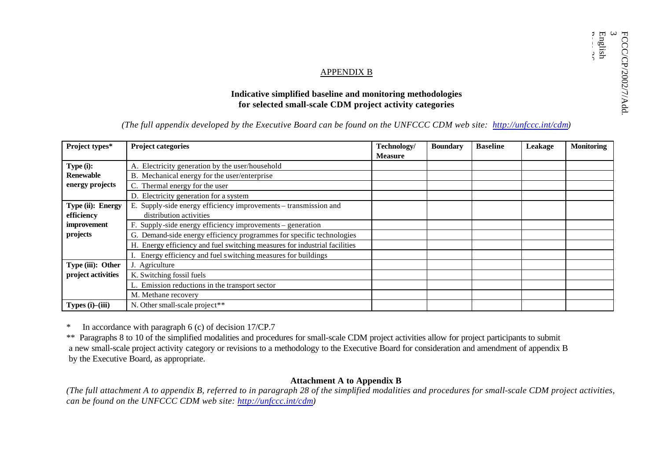#### APPENDIX B

# **Indicative simplified baseline and monitoring methodologies for selected small-scale CDM project activity categories**

# *(The full appendix developed by the Executive Board can be found on the UNFCCC CDM web site: http://unfccc.int/cdm)*

| Project types*     | <b>Project categories</b>                                                  | Technology/<br><b>Measure</b> | <b>Boundary</b> | <b>Baseline</b> | Leakage | <b>Monitoring</b> |
|--------------------|----------------------------------------------------------------------------|-------------------------------|-----------------|-----------------|---------|-------------------|
| Type (i):          | A. Electricity generation by the user/household                            |                               |                 |                 |         |                   |
| <b>Renewable</b>   | B. Mechanical energy for the user/enterprise                               |                               |                 |                 |         |                   |
| energy projects    | C. Thermal energy for the user                                             |                               |                 |                 |         |                   |
|                    | D. Electricity generation for a system                                     |                               |                 |                 |         |                   |
| Type (ii): Energy  | E. Supply-side energy efficiency improvements – transmission and           |                               |                 |                 |         |                   |
| efficiency         | distribution activities                                                    |                               |                 |                 |         |                   |
| improvement        | Supply-side energy efficiency improvements – generation                    |                               |                 |                 |         |                   |
| projects           | G. Demand-side energy efficiency programmes for specific technologies      |                               |                 |                 |         |                   |
|                    | H. Energy efficiency and fuel switching measures for industrial facilities |                               |                 |                 |         |                   |
|                    | I. Energy efficiency and fuel switching measures for buildings             |                               |                 |                 |         |                   |
| Type (iii): Other  | J. Agriculture                                                             |                               |                 |                 |         |                   |
| project activities | K. Switching fossil fuels                                                  |                               |                 |                 |         |                   |
|                    | L. Emission reductions in the transport sector                             |                               |                 |                 |         |                   |
|                    | M. Methane recovery                                                        |                               |                 |                 |         |                   |
| Types (i)-(iii)    | N. Other small-scale project**                                             |                               |                 |                 |         |                   |

\* In accordance with paragraph 6 (c) of decision 17/CP.7

\*\* Paragraphs 8 to 10 of the simplified modalities and procedures for small-scale CDM project activities allow for project participants to submit a new small-scale project activity category or revisions to a methodology to the Executive Board for consideration and amendment of appendix B by the Executive Board, as appropriate.

### **Attachment A to Appendix B**

*(The full attachment A to appendix B, referred to in paragraph 28 of the simplified modalities and procedures for small-scale CDM project activities, can be found on the UNFCCC CDM web site: http://unfccc.int/cdm)*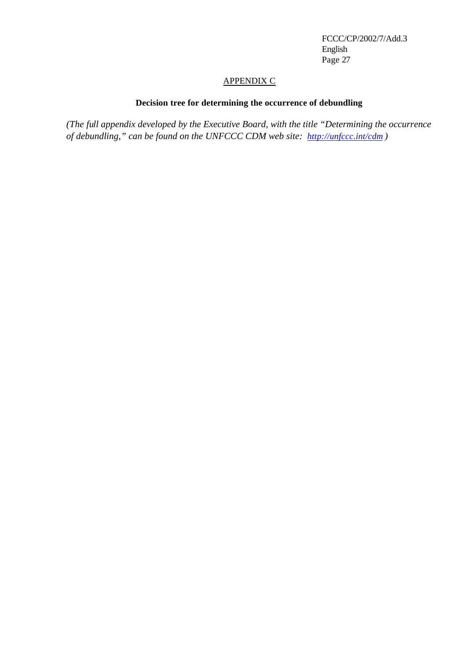### APPENDIX C

# **Decision tree for determining the occurrence of debundling**

*(The full appendix developed by the Executive Board, with the title "Determining the occurrence of debundling," can be found on the UNFCCC CDM web site: http://unfccc.int/cdm )*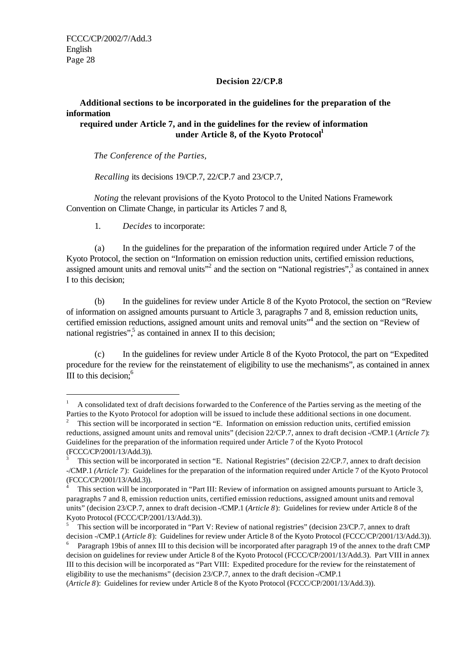j

### **Decision 22/CP.8**

# **Additional sections to be incorporated in the guidelines for the preparation of the information**

## **required under Article 7, and in the guidelines for the review of information under Article 8, of the Kyoto Protocol<sup>1</sup>**

*The Conference of the Parties,*

*Recalling* its decisions 19/CP.7, 22/CP.7 and 23/CP.7,

*Noting* the relevant provisions of the Kyoto Protocol to the United Nations Framework Convention on Climate Change, in particular its Articles 7 and 8,

1. *Decides* to incorporate:

(a) In the guidelines for the preparation of the information required under Article 7 of the Kyoto Protocol, the section on "Information on emission reduction units, certified emission reductions, assigned amount units and removal units<sup>"2</sup> and the section on "National registries",<sup>3</sup> as contained in annex I to this decision;

(b) In the guidelines for review under Article 8 of the Kyoto Protocol, the section on "Review of information on assigned amounts pursuant to Article 3, paragraphs 7 and 8, emission reduction units, certified emission reductions, assigned amount units and removal units"<sup>4</sup> and the section on "Review of national registries", as contained in annex II to this decision;

(c) In the guidelines for review under Article 8 of the Kyoto Protocol, the part on "Expedited procedure for the review for the reinstatement of eligibility to use the mechanisms", as contained in annex III to this decision; $<sup>6</sup>$ </sup>

(*Article 8*): Guidelines for review under Article 8 of the Kyoto Protocol (FCCC/CP/2001/13/Add.3)).

<sup>1</sup> A consolidated text of draft decisions forwarded to the Conference of the Parties serving as the meeting of the Parties to the Kyoto Protocol for adoption will be issued to include these additional sections in one document.

<sup>2</sup> This section will be incorporated in section "E. Information on emission reduction units, certified emission reductions, assigned amount units and removal units" (decision 22/CP.7, annex to draft decision -/CMP.1 (*Article 7*): Guidelines for the preparation of the information required under Article 7 of the Kyoto Protocol (FCCC/CP/2001/13/Add.3)).

<sup>3</sup> This section will be incorporated in section "E. National Registries" (decision 22/CP.7, annex to draft decision -/CMP.1 *(Article 7*): Guidelines for the preparation of the information required under Article 7 of the Kyoto Protocol (FCCC/CP/2001/13/Add.3)).

<sup>4</sup> This section will be incorporated in "Part III: Review of information on assigned amounts pursuant to Article 3, paragraphs 7 and 8, emission reduction units, certified emission reductions, assigned amount units and removal units" (decision 23/CP.7, annex to draft decision -/CMP.1 (*Article 8*): Guidelines for review under Article 8 of the Kyoto Protocol (FCCC/CP/2001/13/Add.3)).

<sup>5</sup> This section will be incorporated in "Part V: Review of national registries" (decision 23/CP.7, annex to draft decision -/CMP.1 (*Article 8*): Guidelines for review under Article 8 of the Kyoto Protocol (FCCC/CP/2001/13/Add.3)).

<sup>6</sup> Paragraph 19bis of annex III to this decision will be incorporated after paragraph 19 of the annex to the draft CMP decision on guidelines for review under Article 8 of the Kyoto Protocol (FCCC/CP/2001/13/Add.3). Part VIII in annex III to this decision will be incorporated as "Part VIII: Expedited procedure for the review for the reinstatement of eligibility to use the mechanisms" (decision 23/CP.7, annex to the draft decision -/CMP.1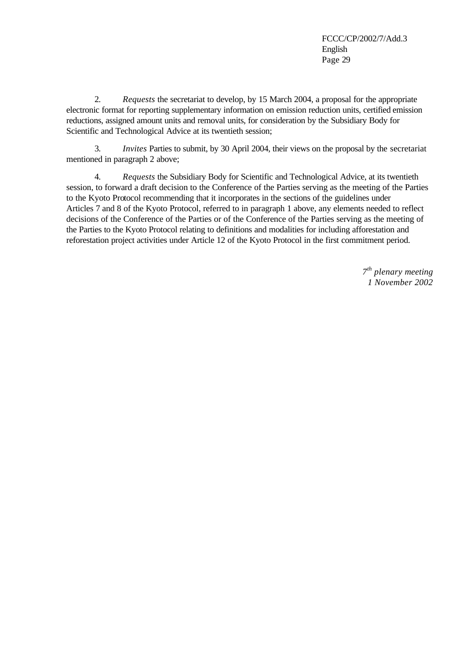2. *Requests* the secretariat to develop, by 15 March 2004, a proposal for the appropriate electronic format for reporting supplementary information on emission reduction units, certified emission reductions, assigned amount units and removal units, for consideration by the Subsidiary Body for Scientific and Technological Advice at its twentieth session;

3. *Invites* Parties to submit, by 30 April 2004, their views on the proposal by the secretariat mentioned in paragraph 2 above;

4. *Requests* the Subsidiary Body for Scientific and Technological Advice, at its twentieth session, to forward a draft decision to the Conference of the Parties serving as the meeting of the Parties to the Kyoto Protocol recommending that it incorporates in the sections of the guidelines under Articles 7 and 8 of the Kyoto Protocol, referred to in paragraph 1 above, any elements needed to reflect decisions of the Conference of the Parties or of the Conference of the Parties serving as the meeting of the Parties to the Kyoto Protocol relating to definitions and modalities for including afforestation and reforestation project activities under Article 12 of the Kyoto Protocol in the first commitment period.

> *7 th plenary meeting 1 November 2002*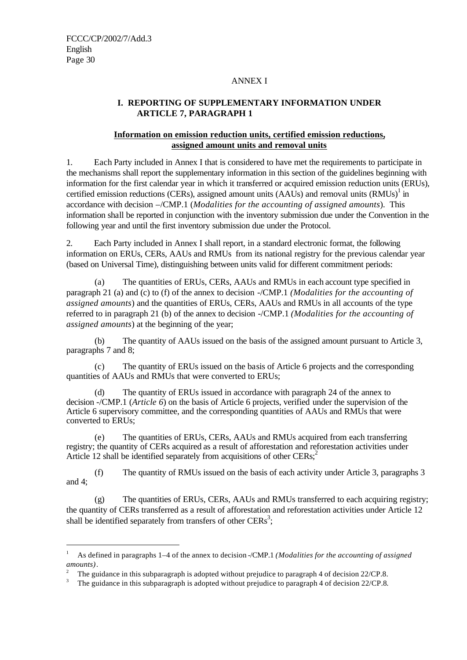j

### ANNEX I

# **I. REPORTING OF SUPPLEMENTARY INFORMATION UNDER ARTICLE 7, PARAGRAPH 1**

# **Information on emission reduction units, certified emission reductions, assigned amount units and removal units**

1. Each Party included in Annex I that is considered to have met the requirements to participate in the mechanisms shall report the supplementary information in this section of the guidelines beginning with information for the first calendar year in which it transferred or acquired emission reduction units (ERUs), certified emission reductions (CERs), assigned amount units (AAUs) and removal units  $(RMUs)^{1}$  in accordance with decision –/CMP.1 (*Modalities for the accounting of assigned amounts*). This information shall be reported in conjunction with the inventory submission due under the Convention in the following year and until the first inventory submission due under the Protocol.

2. Each Party included in Annex I shall report, in a standard electronic format, the following information on ERUs, CERs, AAUs and RMUs from its national registry for the previous calendar year (based on Universal Time), distinguishing between units valid for different commitment periods:

(a) The quantities of ERUs, CERs, AAUs and RMUs in each account type specified in paragraph 21 (a) and (c) to (f) of the annex to decision -/CMP.1 *(Modalities for the accounting of assigned amounts*) and the quantities of ERUs, CERs, AAUs and RMUs in all accounts of the type referred to in paragraph 21 (b) of the annex to decision -/CMP.1 *(Modalities for the accounting of assigned amounts*) at the beginning of the year;

(b) The quantity of AAUs issued on the basis of the assigned amount pursuant to Article 3, paragraphs 7 and 8;

(c) The quantity of ERUs issued on the basis of Article 6 projects and the corresponding quantities of AAUs and RMUs that were converted to ERUs;

(d) The quantity of ERUs issued in accordance with paragraph 24 of the annex to decision -/CMP.1 (*Article 6*) on the basis of Article 6 projects, verified under the supervision of the Article 6 supervisory committee, and the corresponding quantities of AAUs and RMUs that were converted to ERUs;

(e) The quantities of ERUs, CERs, AAUs and RMUs acquired from each transferring registry; the quantity of CERs acquired as a result of afforestation and reforestation activities under Article 12 shall be identified separately from acquisitions of other  $CERs$ ;<sup>2</sup>

(f) The quantity of RMUs issued on the basis of each activity under Article 3, paragraphs 3 and 4;

(g) The quantities of ERUs, CERs, AAUs and RMUs transferred to each acquiring registry; the quantity of CERs transferred as a result of afforestation and reforestation activities under Article 12 shall be identified separately from transfers of other  $CERs^3$ ;

<sup>1</sup> As defined in paragraphs 1–4 of the annex to decision -/CMP.1 *(Modalities for the accounting of assigned amounts)*.

<sup>2</sup> The guidance in this subparagraph is adopted without prejudice to paragraph 4 of decision 22/CP.8.

<sup>3</sup> The guidance in this subparagraph is adopted without prejudice to paragraph 4 of decision 22/CP.8.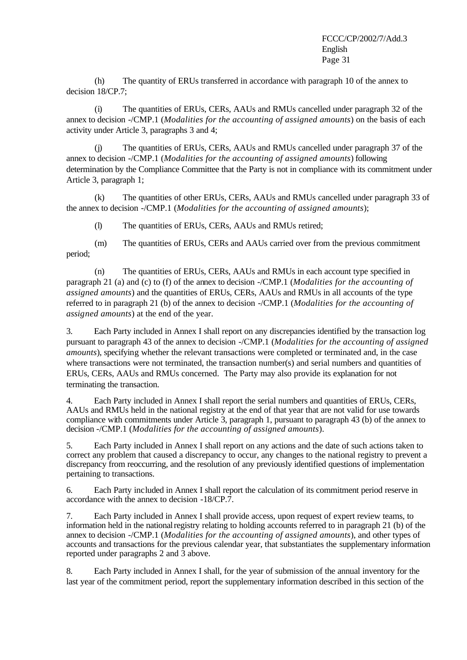(h) The quantity of ERUs transferred in accordance with paragraph 10 of the annex to decision 18/CP.7;

(i) The quantities of ERUs, CERs, AAUs and RMUs cancelled under paragraph 32 of the annex to decision -/CMP.1 (*Modalities for the accounting of assigned amounts*) on the basis of each activity under Article 3, paragraphs 3 and 4;

(j) The quantities of ERUs, CERs, AAUs and RMUs cancelled under paragraph 37 of the annex to decision -/CMP.1 (*Modalities for the accounting of assigned amounts*) following determination by the Compliance Committee that the Party is not in compliance with its commitment under Article 3, paragraph 1;

(k) The quantities of other ERUs, CERs, AAUs and RMUs cancelled under paragraph 33 of the annex to decision -/CMP.1 (*Modalities for the accounting of assigned amounts*);

(l) The quantities of ERUs, CERs, AAUs and RMUs retired;

(m) The quantities of ERUs, CERs and AAUs carried over from the previous commitment period;

(n) The quantities of ERUs, CERs, AAUs and RMUs in each account type specified in paragraph 21 (a) and (c) to (f) of the annex to decision -/CMP.1 (*Modalities for the accounting of assigned amounts*) and the quantities of ERUs, CERs, AAUs and RMUs in all accounts of the type referred to in paragraph 21 (b) of the annex to decision -/CMP.1 (*Modalities for the accounting of assigned amounts*) at the end of the year.

3. Each Party included in Annex I shall report on any discrepancies identified by the transaction log pursuant to paragraph 43 of the annex to decision -/CMP.1 (*Modalities for the accounting of assigned amounts*), specifying whether the relevant transactions were completed or terminated and, in the case where transactions were not terminated, the transaction number(s) and serial numbers and quantities of ERUs, CERs, AAUs and RMUs concerned. The Party may also provide its explanation for not terminating the transaction.

4. Each Party included in Annex I shall report the serial numbers and quantities of ERUs, CERs, AAUs and RMUs held in the national registry at the end of that year that are not valid for use towards compliance with commitments under Article 3, paragraph 1, pursuant to paragraph 43 (b) of the annex to decision -/CMP.1 (*Modalities for the accounting of assigned amounts*).

5. Each Party included in Annex I shall report on any actions and the date of such actions taken to correct any problem that caused a discrepancy to occur, any changes to the national registry to prevent a discrepancy from reoccurring, and the resolution of any previously identified questions of implementation pertaining to transactions.

6. Each Party included in Annex I shall report the calculation of its commitment period reserve in accordance with the annex to decision -18/CP.7.

7. Each Party included in Annex I shall provide access, upon request of expert review teams, to information held in the national registry relating to holding accounts referred to in paragraph 21 (b) of the annex to decision -/CMP.1 (*Modalities for the accounting of assigned amounts*), and other types of accounts and transactions for the previous calendar year, that substantiates the supplementary information reported under paragraphs 2 and 3 above.

8. Each Party included in Annex I shall, for the year of submission of the annual inventory for the last year of the commitment period, report the supplementary information described in this section of the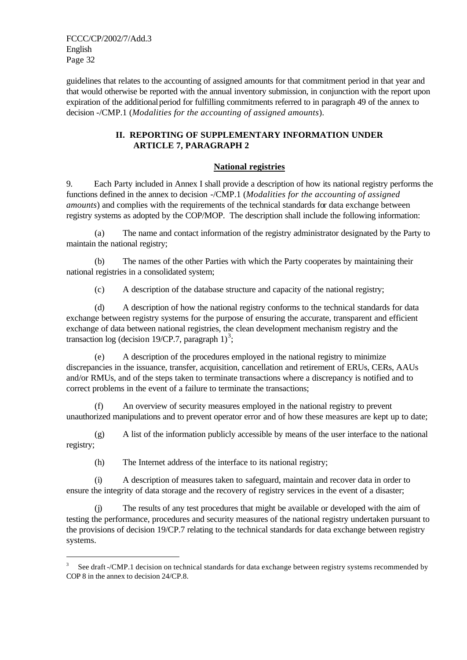j

guidelines that relates to the accounting of assigned amounts for that commitment period in that year and that would otherwise be reported with the annual inventory submission, in conjunction with the report upon expiration of the additional period for fulfilling commitments referred to in paragraph 49 of the annex to decision -/CMP.1 (*Modalities for the accounting of assigned amounts*).

# **II. REPORTING OF SUPPLEMENTARY INFORMATION UNDER ARTICLE 7, PARAGRAPH 2**

# **National registries**

9. Each Party included in Annex I shall provide a description of how its national registry performs the functions defined in the annex to decision -/CMP.1 (*Modalities for the accounting of assigned amounts*) and complies with the requirements of the technical standards for data exchange between registry systems as adopted by the COP/MOP. The description shall include the following information:

(a) The name and contact information of the registry administrator designated by the Party to maintain the national registry;

(b) The names of the other Parties with which the Party cooperates by maintaining their national registries in a consolidated system;

(c) A description of the database structure and capacity of the national registry;

(d) A description of how the national registry conforms to the technical standards for data exchange between registry systems for the purpose of ensuring the accurate, transparent and efficient exchange of data between national registries, the clean development mechanism registry and the transaction log (decision 19/CP.7, paragraph  $1)^3$ ;

(e) A description of the procedures employed in the national registry to minimize discrepancies in the issuance, transfer, acquisition, cancellation and retirement of ERUs, CERs, AAUs and/or RMUs, and of the steps taken to terminate transactions where a discrepancy is notified and to correct problems in the event of a failure to terminate the transactions;

(f) An overview of security measures employed in the national registry to prevent unauthorized manipulations and to prevent operator error and of how these measures are kept up to date;

(g) A list of the information publicly accessible by means of the user interface to the national registry;

(h) The Internet address of the interface to its national registry;

(i) A description of measures taken to safeguard, maintain and recover data in order to ensure the integrity of data storage and the recovery of registry services in the event of a disaster;

(j) The results of any test procedures that might be available or developed with the aim of testing the performance, procedures and security measures of the national registry undertaken pursuant to the provisions of decision 19/CP.7 relating to the technical standards for data exchange between registry systems.

<sup>3</sup> See draft -/CMP.1 decision on technical standards for data exchange between registry systems recommended by COP 8 in the annex to decision 24/CP.8.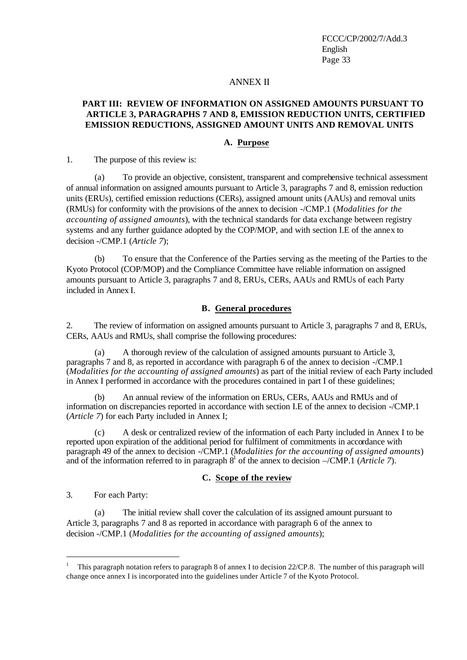### ANNEX II

### **PART III: REVIEW OF INFORMATION ON ASSIGNED AMOUNTS PURSUANT TO ARTICLE 3, PARAGRAPHS 7 AND 8, EMISSION REDUCTION UNITS, CERTIFIED EMISSION REDUCTIONS, ASSIGNED AMOUNT UNITS AND REMOVAL UNITS**

### **A. Purpose**

1. The purpose of this review is:

(a) To provide an objective, consistent, transparent and comprehensive technical assessment of annual information on assigned amounts pursuant to Article 3, paragraphs 7 and 8, emission reduction units (ERUs), certified emission reductions (CERs), assigned amount units (AAUs) and removal units (RMUs) for conformity with the provisions of the annex to decision -/CMP.1 (*Modalities for the accounting of assigned amounts*), with the technical standards for data exchange between registry systems and any further guidance adopted by the COP/MOP, and with section I.E of the annex to decision -/CMP.1 (*Article 7*);

(b) To ensure that the Conference of the Parties serving as the meeting of the Parties to the Kyoto Protocol (COP/MOP) and the Compliance Committee have reliable information on assigned amounts pursuant to Article 3, paragraphs 7 and 8, ERUs, CERs, AAUs and RMUs of each Party included in Annex I.

#### **B. General procedures**

2. The review of information on assigned amounts pursuant to Article 3, paragraphs 7 and 8, ERUs, CERs, AAUs and RMUs, shall comprise the following procedures:

(a) A thorough review of the calculation of assigned amounts pursuant to Article 3, paragraphs 7 and 8, as reported in accordance with paragraph 6 of the annex to decision -/CMP.1 (*Modalities for the accounting of assigned amounts*) as part of the initial review of each Party included in Annex I performed in accordance with the procedures contained in part I of these guidelines;

(b) An annual review of the information on ERUs, CERs, AAUs and RMUs and of information on discrepancies reported in accordance with section I.E of the annex to decision -/CMP.1 (*Article 7*) for each Party included in Annex I;

(c) A desk or centralized review of the information of each Party included in Annex I to be reported upon expiration of the additional period for fulfilment of commitments in accordance with paragraph 49 of the annex to decision -/CMP.1 (*Modalities for the accounting of assigned amounts*) and of the information referred to in paragraph  $\delta^1$  of the annex to decision  $-\sqrt{CMP}$ . (*Article 7*).

### **C. Scope of the review**

3. For each Party:

j

(a) The initial review shall cover the calculation of its assigned amount pursuant to Article 3, paragraphs 7 and 8 as reported in accordance with paragraph 6 of the annex to decision -/CMP.1 (*Modalities for the accounting of assigned amounts*);

<sup>1</sup> This paragraph notation refers to paragraph 8 of annex I to decision 22/CP.8. The number of this paragraph will change once annex I is incorporated into the guidelines under Article 7 of the Kyoto Protocol.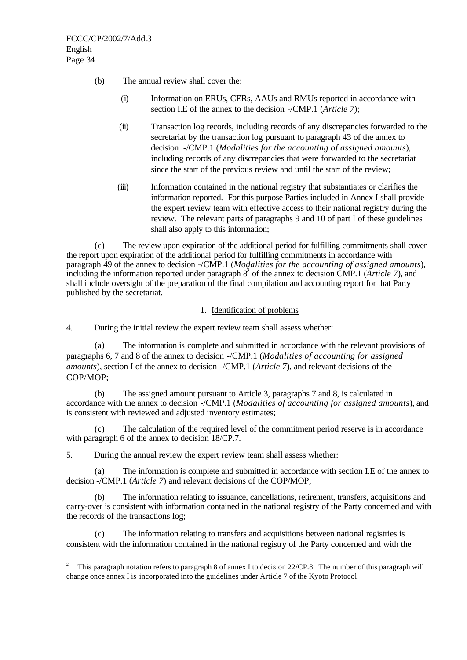j

- (b) The annual review shall cover the:
	- (i) Information on ERUs, CERs, AAUs and RMUs reported in accordance with section I.E of the annex to the decision -/CMP.1 (*Article 7*);
	- (ii) Transaction log records, including records of any discrepancies forwarded to the secretariat by the transaction log pursuant to paragraph 43 of the annex to decision -/CMP.1 (*Modalities for the accounting of assigned amounts*), including records of any discrepancies that were forwarded to the secretariat since the start of the previous review and until the start of the review;
	- (iii) Information contained in the national registry that substantiates or clarifies the information reported. For this purpose Parties included in Annex I shall provide the expert review team with effective access to their national registry during the review. The relevant parts of paragraphs 9 and 10 of part I of these guidelines shall also apply to this information:

(c) The review upon expiration of the additional period for fulfilling commitments shall cover the report upon expiration of the additional period for fulfilling commitments in accordance with paragraph 49 of the annex to decision -/CMP.1 (*Modalities for the accounting of assigned amounts*), including the information reported under paragraph  $8^2$  of the annex to decision CMP.1 (*Article 7*), and shall include oversight of the preparation of the final compilation and accounting report for that Party published by the secretariat.

1. Identification of problems

4. During the initial review the expert review team shall assess whether:

(a) The information is complete and submitted in accordance with the relevant provisions of paragraphs 6, 7 and 8 of the annex to decision -/CMP.1 (*Modalities of accounting for assigned amounts*), section I of the annex to decision -/CMP.1 (*Article 7*), and relevant decisions of the COP/MOP;

(b) The assigned amount pursuant to Article 3, paragraphs 7 and 8, is calculated in accordance with the annex to decision -/CMP.1 (*Modalities of accounting for assigned amounts*), and is consistent with reviewed and adjusted inventory estimates;

(c) The calculation of the required level of the commitment period reserve is in accordance with paragraph 6 of the annex to decision 18/CP.7.

5. During the annual review the expert review team shall assess whether:

(a) The information is complete and submitted in accordance with section I.E of the annex to decision -/CMP.1 (*Article 7*) and relevant decisions of the COP/MOP;

(b) The information relating to issuance, cancellations, retirement, transfers, acquisitions and carry-over is consistent with information contained in the national registry of the Party concerned and with the records of the transactions log;

(c) The information relating to transfers and acquisitions between national registries is consistent with the information contained in the national registry of the Party concerned and with the

<sup>2</sup> This paragraph notation refers to paragraph 8 of annex I to decision 22/CP.8. The number of this paragraph will change once annex I is incorporated into the guidelines under Article 7 of the Kyoto Protocol.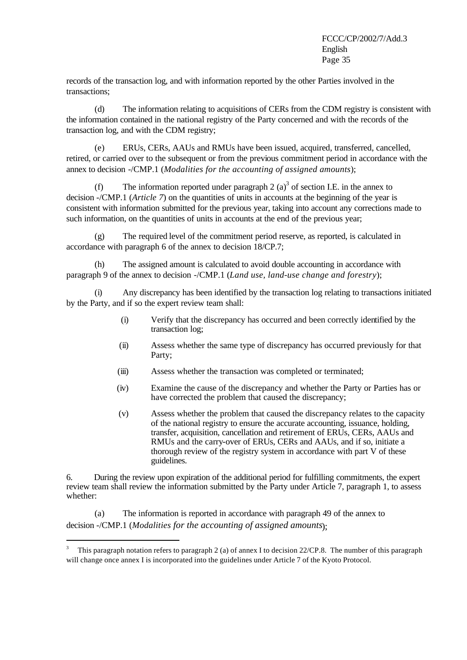records of the transaction log, and with information reported by the other Parties involved in the transactions;

(d) The information relating to acquisitions of CERs from the CDM registry is consistent with the information contained in the national registry of the Party concerned and with the records of the transaction log, and with the CDM registry;

(e) ERUs, CERs, AAUs and RMUs have been issued, acquired, transferred, cancelled, retired, or carried over to the subsequent or from the previous commitment period in accordance with the annex to decision -/CMP.1 (*Modalities for the accounting of assigned amounts*);

(f) The information reported under paragraph 2  $(a)^3$  of section I.E. in the annex to decision -/CMP.1 (*Article 7*) on the quantities of units in accounts at the beginning of the year is consistent with information submitted for the previous year, taking into account any corrections made to such information, on the quantities of units in accounts at the end of the previous year;

(g) The required level of the commitment period reserve, as reported, is calculated in accordance with paragraph 6 of the annex to decision 18/CP.7;

(h) The assigned amount is calculated to avoid double accounting in accordance with paragraph 9 of the annex to decision -/CMP.1 (*Land use, land-use change and forestry*);

(i) Any discrepancy has been identified by the transaction log relating to transactions initiated by the Party, and if so the expert review team shall:

- (i) Verify that the discrepancy has occurred and been correctly identified by the transaction log;
- (ii) Assess whether the same type of discrepancy has occurred previously for that Party;
- (iii) Assess whether the transaction was completed or terminated;
- (iv) Examine the cause of the discrepancy and whether the Party or Parties has or have corrected the problem that caused the discrepancy;
- (v) Assess whether the problem that caused the discrepancy relates to the capacity of the national registry to ensure the accurate accounting, issuance, holding, transfer, acquisition, cancellation and retirement of ERUs, CERs, AAUs and RMUs and the carry-over of ERUs, CERs and AAUs, and if so, initiate a thorough review of the registry system in accordance with part V of these guidelines.

6. During the review upon expiration of the additional period for fulfilling commitments, the expert review team shall review the information submitted by the Party under Article 7, paragraph 1, to assess whether:

(a) The information is reported in accordance with paragraph 49 of the annex to decision -/CMP.1 (*Modalities for the accounting of assigned amounts*);

 3 This paragraph notation refers to paragraph 2 (a) of annex I to decision 22/CP.8. The number of this paragraph will change once annex I is incorporated into the guidelines under Article 7 of the Kyoto Protocol.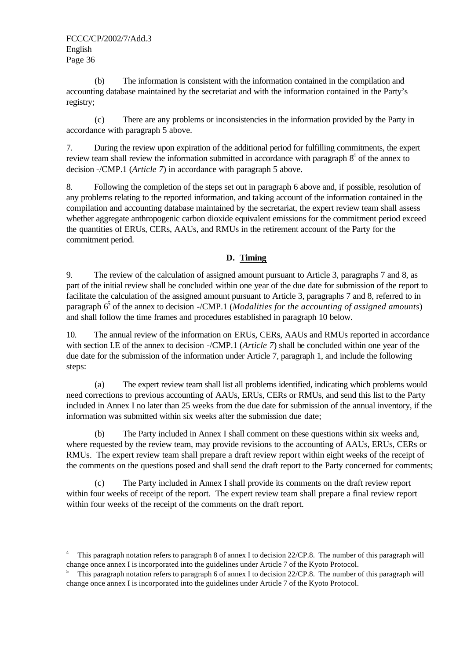j

(b) The information is consistent with the information contained in the compilation and accounting database maintained by the secretariat and with the information contained in the Party's registry;

(c) There are any problems or inconsistencies in the information provided by the Party in accordance with paragraph 5 above.

7. During the review upon expiration of the additional period for fulfilling commitments, the expert review team shall review the information submitted in accordance with paragraph  $8<sup>4</sup>$  of the annex to decision -/CMP.1 (*Article 7*) in accordance with paragraph 5 above.

8. Following the completion of the steps set out in paragraph 6 above and, if possible, resolution of any problems relating to the reported information, and taking account of the information contained in the compilation and accounting database maintained by the secretariat, the expert review team shall assess whether aggregate anthropogenic carbon dioxide equivalent emissions for the commitment period exceed the quantities of ERUs, CERs, AAUs, and RMUs in the retirement account of the Party for the commitment period.

# **D. Timing**

9. The review of the calculation of assigned amount pursuant to Article 3, paragraphs 7 and 8, as part of the initial review shall be concluded within one year of the due date for submission of the report to facilitate the calculation of the assigned amount pursuant to Article 3, paragraphs 7 and 8, referred to in paragraph 6<sup>5</sup> of the annex to decision -/CMP.1 (*Modalities for the accounting of assigned amounts*) and shall follow the time frames and procedures established in paragraph 10 below.

10. The annual review of the information on ERUs, CERs, AAUs and RMUs reported in accordance with section I.E of the annex to decision -/CMP.1 (*Article 7*) shall be concluded within one year of the due date for the submission of the information under Article 7, paragraph 1, and include the following steps:

(a) The expert review team shall list all problems identified, indicating which problems would need corrections to previous accounting of AAUs, ERUs, CERs or RMUs, and send this list to the Party included in Annex I no later than 25 weeks from the due date for submission of the annual inventory, if the information was submitted within six weeks after the submission due date;

(b) The Party included in Annex I shall comment on these questions within six weeks and, where requested by the review team, may provide revisions to the accounting of AAUs, ERUs, CERs or RMUs. The expert review team shall prepare a draft review report within eight weeks of the receipt of the comments on the questions posed and shall send the draft report to the Party concerned for comments;

(c) The Party included in Annex I shall provide its comments on the draft review report within four weeks of receipt of the report. The expert review team shall prepare a final review report within four weeks of the receipt of the comments on the draft report.

<sup>4</sup> This paragraph notation refers to paragraph 8 of annex I to decision 22/CP.8. The number of this paragraph will change once annex I is incorporated into the guidelines under Article 7 of the Kyoto Protocol.

<sup>5</sup> This paragraph notation refers to paragraph 6 of annex I to decision 22/CP.8. The number of this paragraph will change once annex I is incorporated into the guidelines under Article 7 of the Kyoto Protocol.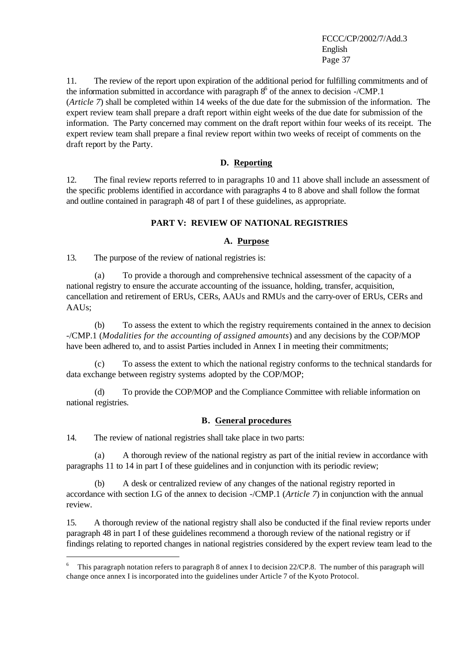11. The review of the report upon expiration of the additional period for fulfilling commitments and of the information submitted in accordance with paragraph  $8^6$  of the annex to decision -/CMP.1 (*Article 7*) shall be completed within 14 weeks of the due date for the submission of the information. The expert review team shall prepare a draft report within eight weeks of the due date for submission of the information. The Party concerned may comment on the draft report within four weeks of its receipt. The expert review team shall prepare a final review report within two weeks of receipt of comments on the draft report by the Party.

## **D. Reporting**

12. The final review reports referred to in paragraphs 10 and 11 above shall include an assessment of the specific problems identified in accordance with paragraphs 4 to 8 above and shall follow the format and outline contained in paragraph 48 of part I of these guidelines, as appropriate.

### **PART V: REVIEW OF NATIONAL REGISTRIES**

### **A. Purpose**

13. The purpose of the review of national registries is:

(a) To provide a thorough and comprehensive technical assessment of the capacity of a national registry to ensure the accurate accounting of the issuance, holding, transfer, acquisition, cancellation and retirement of ERUs, CERs, AAUs and RMUs and the carry-over of ERUs, CERs and AAUs;

(b) To assess the extent to which the registry requirements contained in the annex to decision -/CMP.1 (*Modalities for the accounting of assigned amounts*) and any decisions by the COP/MOP have been adhered to, and to assist Parties included in Annex I in meeting their commitments;

(c) To assess the extent to which the national registry conforms to the technical standards for data exchange between registry systems adopted by the COP/MOP;

(d) To provide the COP/MOP and the Compliance Committee with reliable information on national registries.

### **B. General procedures**

14. The review of national registries shall take place in two parts:

j

(a) A thorough review of the national registry as part of the initial review in accordance with paragraphs 11 to 14 in part I of these guidelines and in conjunction with its periodic review;

A desk or centralized review of any changes of the national registry reported in accordance with section I.G of the annex to decision -/CMP.1 (*Article 7*) in conjunction with the annual review.

15. A thorough review of the national registry shall also be conducted if the final review reports under paragraph 48 in part I of these guidelines recommend a thorough review of the national registry or if findings relating to reported changes in national registries considered by the expert review team lead to the

<sup>6</sup> This paragraph notation refers to paragraph 8 of annex I to decision 22/CP.8. The number of this paragraph will change once annex I is incorporated into the guidelines under Article 7 of the Kyoto Protocol.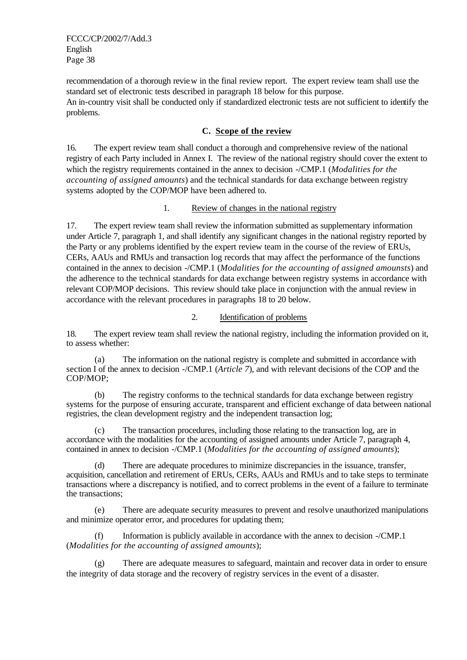recommendation of a thorough review in the final review report. The expert review team shall use the standard set of electronic tests described in paragraph 18 below for this purpose. An in-country visit shall be conducted only if standardized electronic tests are not sufficient to identify the problems.

# **C. Scope of the review**

16. The expert review team shall conduct a thorough and comprehensive review of the national registry of each Party included in Annex I. The review of the national registry should cover the extent to which the registry requirements contained in the annex to decision -/CMP.1 (*Modalities for the accounting of assigned amounts*) and the technical standards for data exchange between registry systems adopted by the COP/MOP have been adhered to.

# 1. Review of changes in the national registry

17. The expert review team shall review the information submitted as supplementary information under Article 7, paragraph 1, and shall identify any significant changes in the national registry reported by the Party or any problems identified by the expert review team in the course of the review of ERUs, CERs, AAUs and RMUs and transaction log records that may affect the performance of the functions contained in the annex to decision -/CMP.1 (*Modalities for the accounting of assigned amounsts*) and the adherence to the technical standards for data exchange between registry systems in accordance with relevant COP/MOP decisions. This review should take place in conjunction with the annual review in accordance with the relevant procedures in paragraphs 18 to 20 below.

# 2. Identification of problems

18. The expert review team shall review the national registry, including the information provided on it, to assess whether:

(a) The information on the national registry is complete and submitted in accordance with section I of the annex to decision -/CMP.1 (*Article 7*), and with relevant decisions of the COP and the COP/MOP;

(b) The registry conforms to the technical standards for data exchange between registry systems for the purpose of ensuring accurate, transparent and efficient exchange of data between national registries, the clean development registry and the independent transaction log;

(c) The transaction procedures, including those relating to the transaction log, are in accordance with the modalities for the accounting of assigned amounts under Article 7, paragraph 4, contained in annex to decision -/CMP.1 (*Modalities for the accounting of assigned amounts*);

(d) There are adequate procedures to minimize discrepancies in the issuance, transfer, acquisition, cancellation and retirement of ERUs, CERs, AAUs and RMUs and to take steps to terminate transactions where a discrepancy is notified, and to correct problems in the event of a failure to terminate the transactions;

(e) There are adequate security measures to prevent and resolve unauthorized manipulations and minimize operator error, and procedures for updating them;

(f) Information is publicly available in accordance with the annex to decision -/CMP.1 (*Modalities for the accounting of assigned amounts*);

(g) There are adequate measures to safeguard, maintain and recover data in order to ensure the integrity of data storage and the recovery of registry services in the event of a disaster.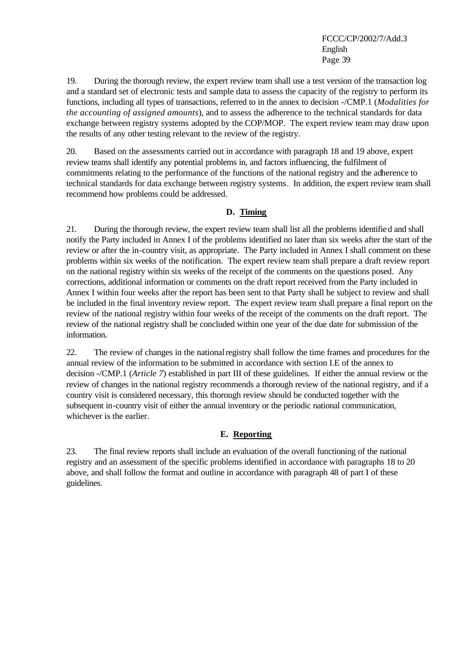19. During the thorough review, the expert review team shall use a test version of the transaction log and a standard set of electronic tests and sample data to assess the capacity of the registry to perform its functions, including all types of transactions, referred to in the annex to decision -/CMP.1 (*Modalities for the accounting of assigned amounts*), and to assess the adherence to the technical standards for data exchange between registry systems adopted by the COP/MOP. The expert review team may draw upon the results of any other testing relevant to the review of the registry.

20. Based on the assessments carried out in accordance with paragraph 18 and 19 above, expert review teams shall identify any potential problems in, and factors influencing, the fulfilment of commitments relating to the performance of the functions of the national registry and the adherence to technical standards for data exchange between registry systems. In addition, the expert review team shall recommend how problems could be addressed.

### **D. Timing**

21. During the thorough review, the expert review team shall list all the problems identified and shall notify the Party included in Annex I of the problems identified no later than six weeks after the start of the review or after the in-country visit, as appropriate. The Party included in Annex I shall comment on these problems within six weeks of the notification. The expert review team shall prepare a draft review report on the national registry within six weeks of the receipt of the comments on the questions posed. Any corrections, additional information or comments on the draft report received from the Party included in Annex I within four weeks after the report has been sent to that Party shall be subject to review and shall be included in the final inventory review report. The expert review team shall prepare a final report on the review of the national registry within four weeks of the receipt of the comments on the draft report. The review of the national registry shall be concluded within one year of the due date for submission of the information.

22. The review of changes in the national registry shall follow the time frames and procedures for the annual review of the information to be submitted in accordance with section I.E of the annex to decision -/CMP.1 (*Article 7*) established in part III of these guidelines. If either the annual review or the review of changes in the national registry recommends a thorough review of the national registry, and if a country visit is considered necessary, this thorough review should be conducted together with the subsequent in-country visit of either the annual inventory or the periodic national communication, whichever is the earlier.

# **E. Reporting**

23. The final review reports shall include an evaluation of the overall functioning of the national registry and an assessment of the specific problems identified in accordance with paragraphs 18 to 20 above, and shall follow the format and outline in accordance with paragraph 48 of part I of these guidelines.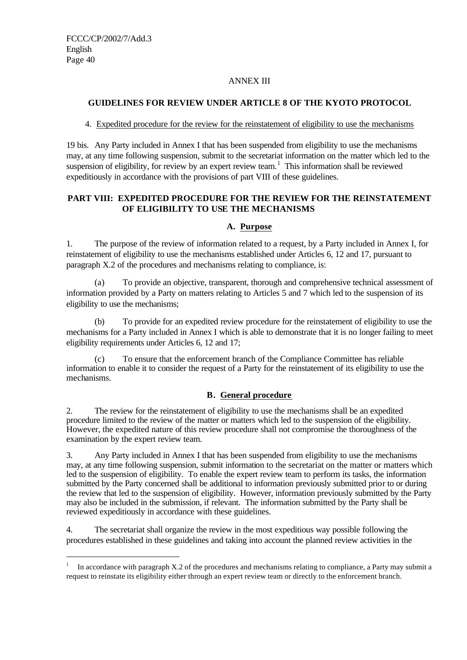j

### ANNEX III

# **GUIDELINES FOR REVIEW UNDER ARTICLE 8 OF THE KYOTO PROTOCOL**

### 4. Expedited procedure for the review for the reinstatement of eligibility to use the mechanisms

19 bis. Any Party included in Annex I that has been suspended from eligibility to use the mechanisms may, at any time following suspension, submit to the secretariat information on the matter which led to the suspension of eligibility, for review by an expert review team.<sup>1</sup> This information shall be reviewed expeditiously in accordance with the provisions of part VIII of these guidelines.

# **PART VIII: EXPEDITED PROCEDURE FOR THE REVIEW FOR THE REINSTATEMENT OF ELIGIBILITY TO USE THE MECHANISMS**

# **A. Purpose**

1. The purpose of the review of information related to a request, by a Party included in Annex I, for reinstatement of eligibility to use the mechanisms established under Articles 6, 12 and 17, pursuant to paragraph X.2 of the procedures and mechanisms relating to compliance, is:

(a) To provide an objective, transparent, thorough and comprehensive technical assessment of information provided by a Party on matters relating to Articles 5 and 7 which led to the suspension of its eligibility to use the mechanisms;

(b) To provide for an expedited review procedure for the reinstatement of eligibility to use the mechanisms for a Party included in Annex I which is able to demonstrate that it is no longer failing to meet eligibility requirements under Articles 6, 12 and 17;

(c) To ensure that the enforcement branch of the Compliance Committee has reliable information to enable it to consider the request of a Party for the reinstatement of its eligibility to use the mechanisms.

# **B. General procedure**

2. The review for the reinstatement of eligibility to use the mechanisms shall be an expedited procedure limited to the review of the matter or matters which led to the suspension of the eligibility. However, the expedited nature of this review procedure shall not compromise the thoroughness of the examination by the expert review team.

3. Any Party included in Annex I that has been suspended from eligibility to use the mechanisms may, at any time following suspension, submit information to the secretariat on the matter or matters which led to the suspension of eligibility. To enable the expert review team to perform its tasks, the information submitted by the Party concerned shall be additional to information previously submitted prior to or during the review that led to the suspension of eligibility. However, information previously submitted by the Party may also be included in the submission, if relevant. The information submitted by the Party shall be reviewed expeditiously in accordance with these guidelines.

4. The secretariat shall organize the review in the most expeditious way possible following the procedures established in these guidelines and taking into account the planned review activities in the

<sup>1</sup> In accordance with paragraph X.2 of the procedures and mechanisms relating to compliance, a Party may submit a request to reinstate its eligibility either through an expert review team or directly to the enforcement branch.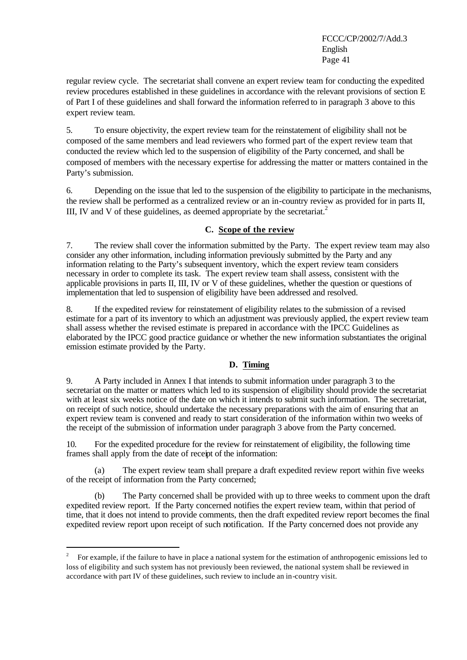regular review cycle. The secretariat shall convene an expert review team for conducting the expedited review procedures established in these guidelines in accordance with the relevant provisions of section E of Part I of these guidelines and shall forward the information referred to in paragraph 3 above to this expert review team.

5. To ensure objectivity, the expert review team for the reinstatement of eligibility shall not be composed of the same members and lead reviewers who formed part of the expert review team that conducted the review which led to the suspension of eligibility of the Party concerned, and shall be composed of members with the necessary expertise for addressing the matter or matters contained in the Party's submission.

6. Depending on the issue that led to the suspension of the eligibility to participate in the mechanisms, the review shall be performed as a centralized review or an in-country review as provided for in parts II, III, IV and V of these guidelines, as deemed appropriate by the secretariat.<sup>2</sup>

# **C. Scope of the review**

7. The review shall cover the information submitted by the Party. The expert review team may also consider any other information, including information previously submitted by the Party and any information relating to the Party's subsequent inventory, which the expert review team considers necessary in order to complete its task. The expert review team shall assess, consistent with the applicable provisions in parts II, III, IV or V of these guidelines, whether the question or questions of implementation that led to suspension of eligibility have been addressed and resolved.

8. If the expedited review for reinstatement of eligibility relates to the submission of a revised estimate for a part of its inventory to which an adjustment was previously applied, the expert review team shall assess whether the revised estimate is prepared in accordance with the IPCC Guidelines as elaborated by the IPCC good practice guidance or whether the new information substantiates the original emission estimate provided by the Party.

### **D. Timing**

9. A Party included in Annex I that intends to submit information under paragraph 3 to the secretariat on the matter or matters which led to its suspension of eligibility should provide the secretariat with at least six weeks notice of the date on which it intends to submit such information. The secretariat, on receipt of such notice, should undertake the necessary preparations with the aim of ensuring that an expert review team is convened and ready to start consideration of the information within two weeks of the receipt of the submission of information under paragraph 3 above from the Party concerned.

10. For the expedited procedure for the review for reinstatement of eligibility, the following time frames shall apply from the date of receipt of the information:

The expert review team shall prepare a draft expedited review report within five weeks of the receipt of information from the Party concerned;

(b) The Party concerned shall be provided with up to three weeks to comment upon the draft expedited review report. If the Party concerned notifies the expert review team, within that period of time, that it does not intend to provide comments, then the draft expedited review report becomes the final expedited review report upon receipt of such notification. If the Party concerned does not provide any

 $\overline{1}$  For example, if the failure to have in place a national system for the estimation of anthropogenic emissions led to loss of eligibility and such system has not previously been reviewed, the national system shall be reviewed in accordance with part IV of these guidelines, such review to include an in-country visit.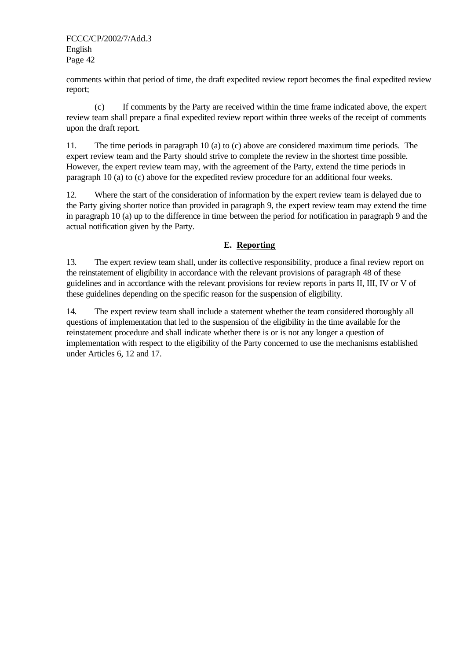comments within that period of time, the draft expedited review report becomes the final expedited review report;

(c) If comments by the Party are received within the time frame indicated above, the expert review team shall prepare a final expedited review report within three weeks of the receipt of comments upon the draft report.

11. The time periods in paragraph 10 (a) to (c) above are considered maximum time periods. The expert review team and the Party should strive to complete the review in the shortest time possible. However, the expert review team may, with the agreement of the Party, extend the time periods in paragraph 10 (a) to (c) above for the expedited review procedure for an additional four weeks.

12. Where the start of the consideration of information by the expert review team is delayed due to the Party giving shorter notice than provided in paragraph 9, the expert review team may extend the time in paragraph 10 (a) up to the difference in time between the period for notification in paragraph 9 and the actual notification given by the Party.

# **E. Reporting**

13. The expert review team shall, under its collective responsibility, produce a final review report on the reinstatement of eligibility in accordance with the relevant provisions of paragraph 48 of these guidelines and in accordance with the relevant provisions for review reports in parts II, III, IV or V of these guidelines depending on the specific reason for the suspension of eligibility.

14. The expert review team shall include a statement whether the team considered thoroughly all questions of implementation that led to the suspension of the eligibility in the time available for the reinstatement procedure and shall indicate whether there is or is not any longer a question of implementation with respect to the eligibility of the Party concerned to use the mechanisms established under Articles 6, 12 and 17.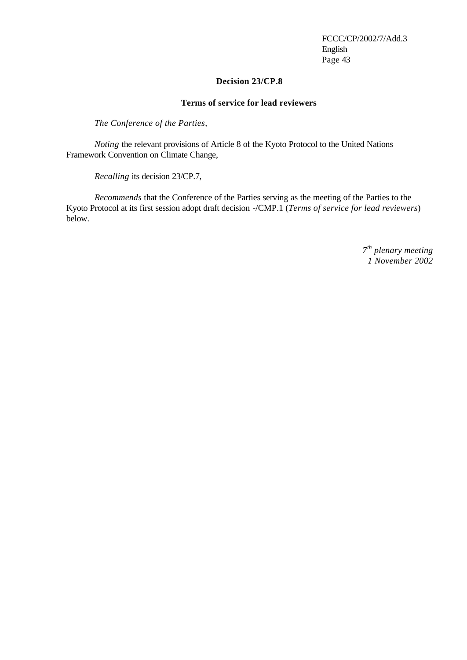### **Decision 23/CP.8**

### **Terms of service for lead reviewers**

*The Conference of the Parties,*

*Noting* the relevant provisions of Article 8 of the Kyoto Protocol to the United Nations Framework Convention on Climate Change,

*Recalling* its decision 23/CP.7,

*Recommends* that the Conference of the Parties serving as the meeting of the Parties to the Kyoto Protocol at its first session adopt draft decision -/CMP.1 (*Terms of service for lead reviewers*) below.

> *7 th plenary meeting 1 November 2002*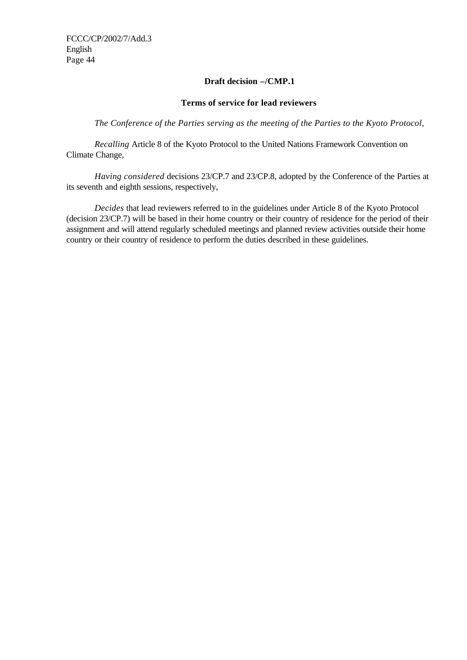### **Draft decision –/CMP.1**

### **Terms of service for lead reviewers**

*The Conference of the Parties serving as the meeting of the Parties to the Kyoto Protocol,*

*Recalling* Article 8 of the Kyoto Protocol to the United Nations Framework Convention on Climate Change,

*Having considered* decisions 23/CP.7 and 23/CP.8, adopted by the Conference of the Parties at its seventh and eighth sessions, respectively,

*Decides* that lead reviewers referred to in the guidelines under Article 8 of the Kyoto Protocol (decision 23/CP.7) will be based in their home country or their country of residence for the period of their assignment and will attend regularly scheduled meetings and planned review activities outside their home country or their country of residence to perform the duties described in these guidelines.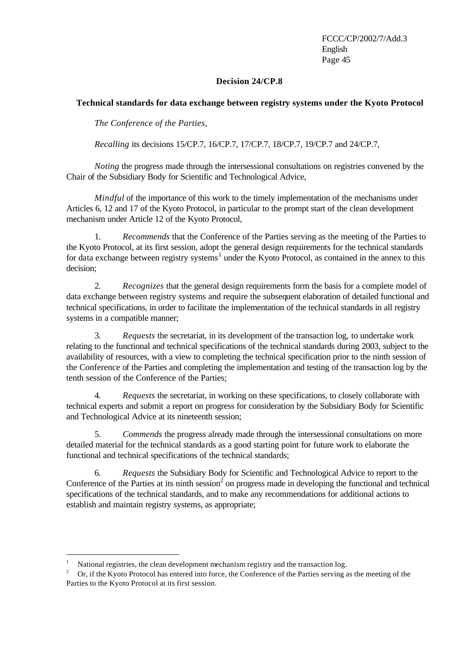### **Decision 24/CP.8**

### **Technical standards for data exchange between registry systems under the Kyoto Protocol**

*The Conference of the Parties,*

*Recalling* its decisions 15/CP.7, 16/CP.7, 17/CP.7, 18/CP.7, 19/CP.7 and 24/CP.7,

*Noting* the progress made through the intersessional consultations on registries convened by the Chair of the Subsidiary Body for Scientific and Technological Advice,

*Mindful* of the importance of this work to the timely implementation of the mechanisms under Articles 6, 12 and 17 of the Kyoto Protocol, in particular to the prompt start of the clean development mechanism under Article 12 of the Kyoto Protocol,

1. *Recommends* that the Conference of the Parties serving as the meeting of the Parties to the Kyoto Protocol, at its first session, adopt the general design requirements for the technical standards for data exchange between registry systems<sup>1</sup> under the Kyoto Protocol, as contained in the annex to this decision;

2. *Recognizes* that the general design requirements form the basis for a complete model of data exchange between registry systems and require the subsequent elaboration of detailed functional and technical specifications, in order to facilitate the implementation of the technical standards in all registry systems in a compatible manner;

3. *Requests* the secretariat, in its development of the transaction log, to undertake work relating to the functional and technical specifications of the technical standards during 2003, subject to the availability of resources, with a view to completing the technical specification prior to the ninth session of the Conference of the Parties and completing the implementation and testing of the transaction log by the tenth session of the Conference of the Parties;

4. *Requests* the secretariat, in working on these specifications, to closely collaborate with technical experts and submit a report on progress for consideration by the Subsidiary Body for Scientific and Technological Advice at its nineteenth session;

5. *Commends* the progress already made through the intersessional consultations on more detailed material for the technical standards as a good starting point for future work to elaborate the functional and technical specifications of the technical standards;

6. *Requests* the Subsidiary Body for Scientific and Technological Advice to report to the Conference of the Parties at its ninth session<sup>2</sup> on progress made in developing the functional and technical specifications of the technical standards, and to make any recommendations for additional actions to establish and maintain registry systems, as appropriate;

j

<sup>1</sup> National registries, the clean development mechanism registry and the transaction log.

<sup>2</sup> Or, if the Kyoto Protocol has entered into force, the Conference of the Parties serving as the meeting of the Parties to the Kyoto Protocol at its first session.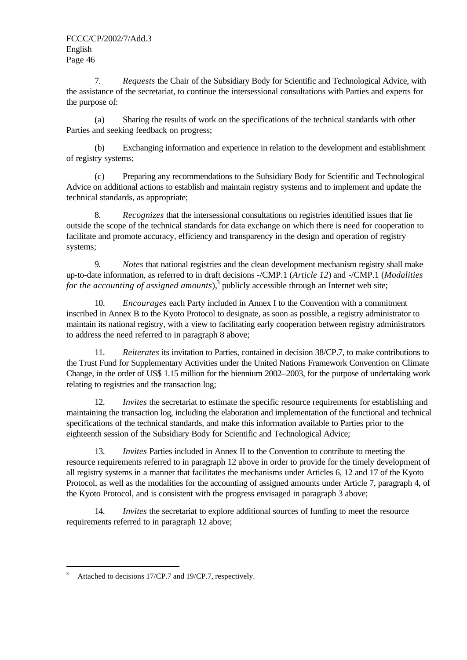7. *Requests* the Chair of the Subsidiary Body for Scientific and Technological Advice, with the assistance of the secretariat, to continue the intersessional consultations with Parties and experts for the purpose of:

(a) Sharing the results of work on the specifications of the technical standards with other Parties and seeking feedback on progress;

(b) Exchanging information and experience in relation to the development and establishment of registry systems;

(c) Preparing any recommendations to the Subsidiary Body for Scientific and Technological Advice on additional actions to establish and maintain registry systems and to implement and update the technical standards, as appropriate;

8. *Recognizes* that the intersessional consultations on registries identified issues that lie outside the scope of the technical standards for data exchange on which there is need for cooperation to facilitate and promote accuracy, efficiency and transparency in the design and operation of registry systems;

9. *Notes* that national registries and the clean development mechanism registry shall make up-to-date information, as referred to in draft decisions -/CMP.1 (*Article 12*) and -/CMP.1 (*Modalities*  for the accounting of assigned amounts),<sup>3</sup> publicly accessible through an Internet web site;

10. *Encourages* each Party included in Annex I to the Convention with a commitment inscribed in Annex B to the Kyoto Protocol to designate, as soon as possible, a registry administrator to maintain its national registry, with a view to facilitating early cooperation between registry administrators to address the need referred to in paragraph 8 above;

11. *Reiterates* its invitation to Parties, contained in decision 38/CP.7, to make contributions to the Trust Fund for Supplementary Activities under the United Nations Framework Convention on Climate Change, in the order of US\$ 1.15 million for the biennium 2002–2003, for the purpose of undertaking work relating to registries and the transaction log;

12. *Invites* the secretariat to estimate the specific resource requirements for establishing and maintaining the transaction log, including the elaboration and implementation of the functional and technical specifications of the technical standards, and make this information available to Parties prior to the eighteenth session of the Subsidiary Body for Scientific and Technological Advice;

13. *Invites* Parties included in Annex II to the Convention to contribute to meeting the resource requirements referred to in paragraph 12 above in order to provide for the timely development of all registry systems in a manner that facilitates the mechanisms under Articles 6, 12 and 17 of the Kyoto Protocol, as well as the modalities for the accounting of assigned amounts under Article 7, paragraph 4, of the Kyoto Protocol, and is consistent with the progress envisaged in paragraph 3 above;

14. *Invites* the secretariat to explore additional sources of funding to meet the resource requirements referred to in paragraph 12 above;

 3 Attached to decisions 17/CP.7 and 19/CP.7, respectively.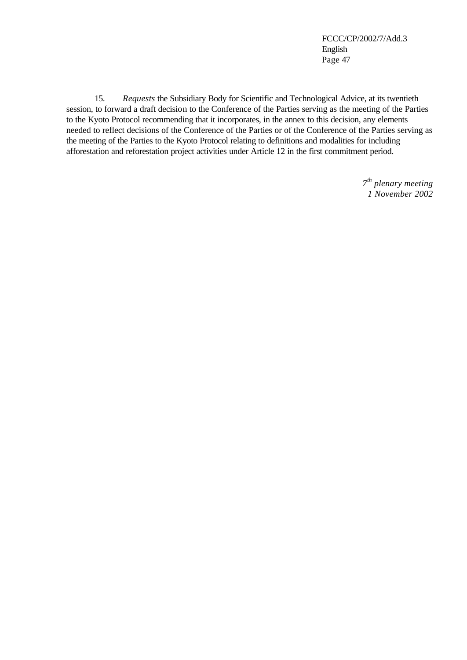15. *Requests* the Subsidiary Body for Scientific and Technological Advice, at its twentieth session, to forward a draft decision to the Conference of the Parties serving as the meeting of the Parties to the Kyoto Protocol recommending that it incorporates, in the annex to this decision, any elements needed to reflect decisions of the Conference of the Parties or of the Conference of the Parties serving as the meeting of the Parties to the Kyoto Protocol relating to definitions and modalities for including afforestation and reforestation project activities under Article 12 in the first commitment period.

> *7 th plenary meeting 1 November 2002*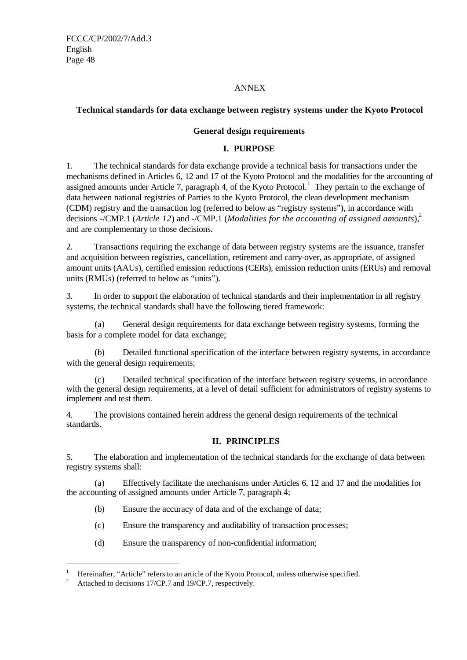### ANNEX

# **Technical standards for data exchange between registry systems under the Kyoto Protocol**

### **General design requirements**

### **I. PURPOSE**

1. The technical standards for data exchange provide a technical basis for transactions under the mechanisms defined in Articles 6, 12 and 17 of the Kyoto Protocol and the modalities for the accounting of assigned amounts under Article 7, paragraph 4, of the Kyoto Protocol.<sup>1</sup> They pertain to the exchange of data between national registries of Parties to the Kyoto Protocol, the clean development mechanism (CDM) registry and the transaction log (referred to below as "registry systems"), in accordance with decisions -/CMP.1 (*Article 12*) and -/CMP.1 (*Modalities for the accounting of assigned amounts*),<sup>2</sup> and are complementary to those decisions.

2. Transactions requiring the exchange of data between registry systems are the issuance, transfer and acquisition between registries, cancellation, retirement and carry-over, as appropriate, of assigned amount units (AAUs), certified emission reductions (CERs), emission reduction units (ERUs) and removal units (RMUs) (referred to below as "units").

3. In order to support the elaboration of technical standards and their implementation in all registry systems, the technical standards shall have the following tiered framework:

(a) General design requirements for data exchange between registry systems, forming the basis for a complete model for data exchange;

(b) Detailed functional specification of the interface between registry systems, in accordance with the general design requirements;

(c) Detailed technical specification of the interface between registry systems, in accordance with the general design requirements, at a level of detail sufficient for administrators of registry systems to implement and test them.

4. The provisions contained herein address the general design requirements of the technical standards.

# **II. PRINCIPLES**

5. The elaboration and implementation of the technical standards for the exchange of data between registry systems shall:

(a) Effectively facilitate the mechanisms under Articles 6, 12 and 17 and the modalities for the accounting of assigned amounts under Article 7, paragraph 4;

- (b) Ensure the accuracy of data and of the exchange of data;
- (c) Ensure the transparency and auditability of transaction processes;
- (d) Ensure the transparency of non-confidential information;

j

<sup>1</sup> Hereinafter, "Article" refers to an article of the Kyoto Protocol, unless otherwise specified.

<sup>2</sup> Attached to decisions 17/CP.7 and 19/CP.7, respectively.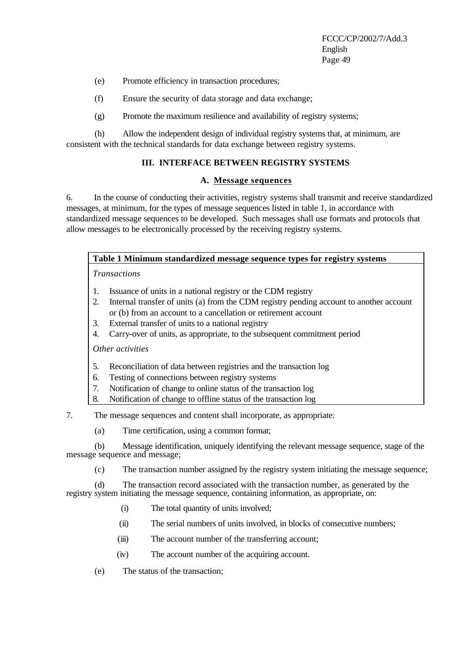- (e) Promote efficiency in transaction procedures;
- (f) Ensure the security of data storage and data exchange;
- (g) Promote the maximum resilience and availability of registry systems;

(h) Allow the independent design of individual registry systems that, at minimum, are consistent with the technical standards for data exchange between registry systems.

### **III. INTERFACE BETWEEN REGISTRY SYSTEMS**

#### **A. Message sequences**

6. In the course of conducting their activities, registry systems shall transmit and receive standardized messages, at minimum, for the types of message sequences listed in table 1, in accordance with standardized message sequences to be developed. Such messages shall use formats and protocols that allow messages to be electronically processed by the receiving registry systems.

#### **Table 1 Minimum standardized message sequence types for registry systems**

*Transactions*

- 1. Issuance of units in a national registry or the CDM registry
- 2. Internal transfer of units (a) from the CDM registry pending account to another account or (b) from an account to a cancellation or retirement account
- 3. External transfer of units to a national registry
- 4. Carry-over of units, as appropriate, to the subsequent commitment period

*Other activities*

- 5. Reconciliation of data between registries and the transaction log
- 6. Testing of connections between registry systems
- 7. Notification of change to online status of the transaction log
- 8. Notification of change to offline status of the transaction log

7. The message sequences and content shall incorporate, as appropriate:

(a) Time certification, using a common format;

(b) Message identification, uniquely identifying the relevant message sequence, stage of the message sequence and message;

(c) The transaction number assigned by the registry system initiating the message sequence;

(d) The transaction record associated with the transaction number, as generated by the registry system initiating the message sequence, containing information, as appropriate, on:

- (i) The total quantity of units involved;
- (ii) The serial numbers of units involved, in blocks of consecutive numbers;
- (iii) The account number of the transferring account;
- (iv) The account number of the acquiring account.
- (e) The status of the transaction;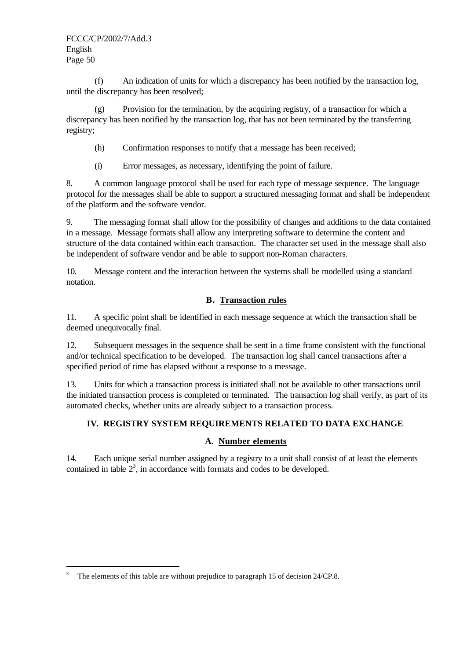(f) An indication of units for which a discrepancy has been notified by the transaction log, until the discrepancy has been resolved;

(g) Provision for the termination, by the acquiring registry, of a transaction for which a discrepancy has been notified by the transaction log, that has not been terminated by the transferring registry;

- (h) Confirmation responses to notify that a message has been received;
- (i) Error messages, as necessary, identifying the point of failure.

8. A common language protocol shall be used for each type of message sequence. The language protocol for the messages shall be able to support a structured messaging format and shall be independent of the platform and the software vendor.

9. The messaging format shall allow for the possibility of changes and additions to the data contained in a message. Message formats shall allow any interpreting software to determine the content and structure of the data contained within each transaction. The character set used in the message shall also be independent of software vendor and be able to support non-Roman characters.

10. Message content and the interaction between the systems shall be modelled using a standard notation.

# **B. Transaction rules**

11. A specific point shall be identified in each message sequence at which the transaction shall be deemed unequivocally final.

12. Subsequent messages in the sequence shall be sent in a time frame consistent with the functional and/or technical specification to be developed. The transaction log shall cancel transactions after a specified period of time has elapsed without a response to a message.

13. Units for which a transaction process is initiated shall not be available to other transactions until the initiated transaction process is completed or terminated. The transaction log shall verify, as part of its automated checks, whether units are already subject to a transaction process.

# **IV. REGISTRY SYSTEM REQUIREMENTS RELATED TO DATA EXCHANGE**

# **A. Number elements**

14. Each unique serial number assigned by a registry to a unit shall consist of at least the elements contained in table  $2<sup>3</sup>$ , in accordance with formats and codes to be developed.

j 3 The elements of this table are without prejudice to paragraph 15 of decision 24/CP.8.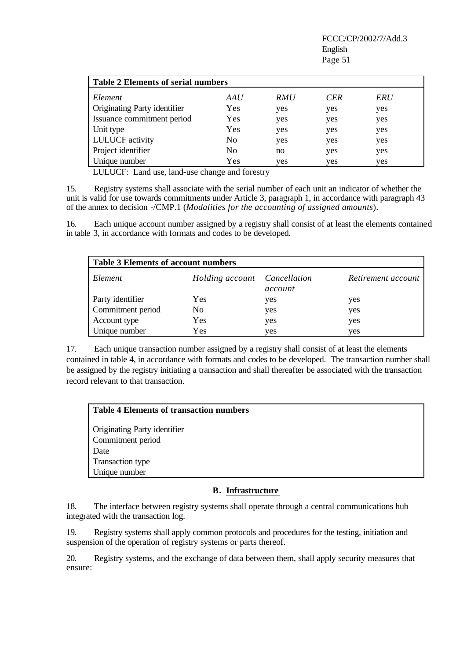| <b>Table 2 Elements of serial numbers</b> |                |            |            |     |
|-------------------------------------------|----------------|------------|------------|-----|
| Element                                   | AAU            | <i>RMU</i> | <b>CER</b> | ERU |
| Originating Party identifier              | Yes            | yes        | yes        | yes |
| Issuance commitment period                | Yes            | yes        | yes        | yes |
| Unit type                                 | Yes            | yes        | yes        | yes |
| <b>LULUCF</b> activity                    | N <sub>0</sub> | yes        | yes        | yes |
| Project identifier                        | N <sub>0</sub> | no         | yes        | yes |
| Unique number                             | Yes            | yes        | yes        | yes |

LULUCF: Land use, land-use change and forestry

15. Registry systems shall associate with the serial number of each unit an indicator of whether the unit is valid for use towards commitments under Article 3, paragraph 1, in accordance with paragraph 43 of the annex to decision -/CMP.1 (*Modalities for the accounting of assigned amounts*).

16. Each unique account number assigned by a registry shall consist of at least the elements contained in table 3, in accordance with formats and codes to be developed.

| <b>Table 3 Elements of account numbers</b> |                              |         |                    |  |
|--------------------------------------------|------------------------------|---------|--------------------|--|
| Element                                    | Holding account Cancellation | account | Retirement account |  |
| Party identifier                           | Yes                          | yes     | yes                |  |
| Commitment period                          | N <sub>0</sub>               | yes     | yes                |  |
| Account type                               | Yes                          | yes     | yes                |  |
| Unique number                              | Yes                          | yes     | ves                |  |

17. Each unique transaction number assigned by a registry shall consist of at least the elements contained in table 4, in accordance with formats and codes to be developed. The transaction number shall be assigned by the registry initiating a transaction and shall thereafter be associated with the transaction record relevant to that transaction.

| <b>Table 4 Elements of transaction numbers</b> |  |
|------------------------------------------------|--|
| Originating Party identifier                   |  |
| Commitment period                              |  |
| Date                                           |  |
| Transaction type                               |  |
| Unique number                                  |  |

### **B. Infrastructure**

18. The interface between registry systems shall operate through a central communications hub integrated with the transaction log.

19. Registry systems shall apply common protocols and procedures for the testing, initiation and suspension of the operation of registry systems or parts thereof.

20. Registry systems, and the exchange of data between them, shall apply security measures that ensure: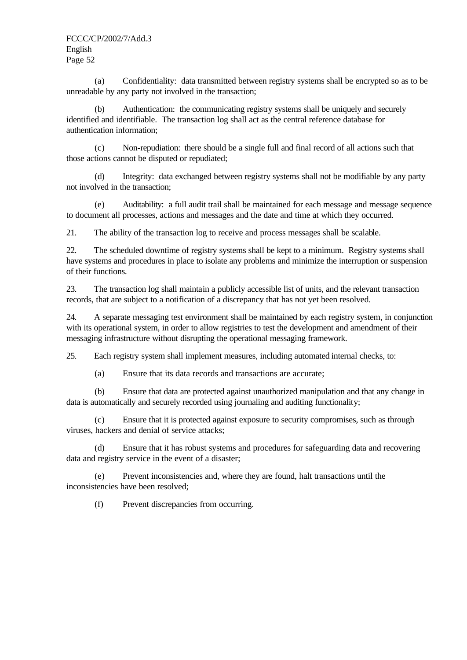(a) Confidentiality: data transmitted between registry systems shall be encrypted so as to be unreadable by any party not involved in the transaction;

(b) Authentication: the communicating registry systems shall be uniquely and securely identified and identifiable. The transaction log shall act as the central reference database for authentication information;

(c) Non-repudiation: there should be a single full and final record of all actions such that those actions cannot be disputed or repudiated;

(d) Integrity: data exchanged between registry systems shall not be modifiable by any party not involved in the transaction;

(e) Auditability: a full audit trail shall be maintained for each message and message sequence to document all processes, actions and messages and the date and time at which they occurred.

21. The ability of the transaction log to receive and process messages shall be scalable.

22. The scheduled downtime of registry systems shall be kept to a minimum. Registry systems shall have systems and procedures in place to isolate any problems and minimize the interruption or suspension of their functions.

23. The transaction log shall maintain a publicly accessible list of units, and the relevant transaction records, that are subject to a notification of a discrepancy that has not yet been resolved.

24. A separate messaging test environment shall be maintained by each registry system, in conjunction with its operational system, in order to allow registries to test the development and amendment of their messaging infrastructure without disrupting the operational messaging framework.

25. Each registry system shall implement measures, including automated internal checks, to:

(a) Ensure that its data records and transactions are accurate;

(b) Ensure that data are protected against unauthorized manipulation and that any change in data is automatically and securely recorded using journaling and auditing functionality;

(c) Ensure that it is protected against exposure to security compromises, such as through viruses, hackers and denial of service attacks;

(d) Ensure that it has robust systems and procedures for safeguarding data and recovering data and registry service in the event of a disaster;

(e) Prevent inconsistencies and, where they are found, halt transactions until the inconsistencies have been resolved;

(f) Prevent discrepancies from occurring.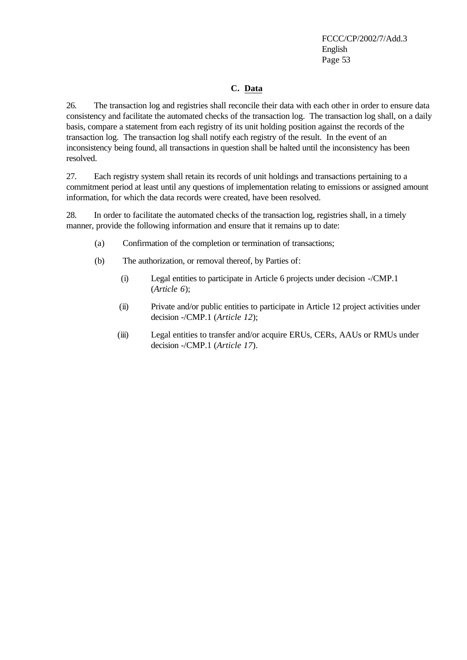### **C. Data**

26. The transaction log and registries shall reconcile their data with each other in order to ensure data consistency and facilitate the automated checks of the transaction log. The transaction log shall, on a daily basis, compare a statement from each registry of its unit holding position against the records of the transaction log. The transaction log shall notify each registry of the result. In the event of an inconsistency being found, all transactions in question shall be halted until the inconsistency has been resolved.

27. Each registry system shall retain its records of unit holdings and transactions pertaining to a commitment period at least until any questions of implementation relating to emissions or assigned amount information, for which the data records were created, have been resolved.

28. In order to facilitate the automated checks of the transaction log, registries shall, in a timely manner, provide the following information and ensure that it remains up to date:

- (a) Confirmation of the completion or termination of transactions;
- (b) The authorization, or removal thereof, by Parties of:
	- (i) Legal entities to participate in Article 6 projects under decision -/CMP.1 (*Article 6*);
	- (ii) Private and/or public entities to participate in Article 12 project activities under decision -/CMP.1 (*Article 12*);
	- (iii) Legal entities to transfer and/or acquire ERUs, CERs, AAUs or RMUs under decision -/CMP.1 (*Article 17*).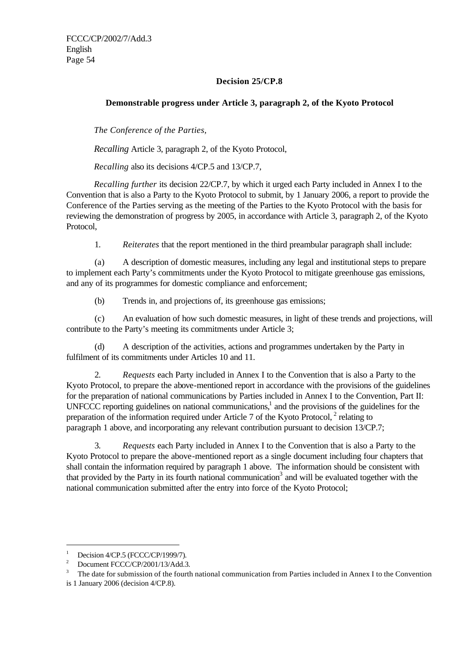# **Decision 25/CP.8**

# **Demonstrable progress under Article 3, paragraph 2, of the Kyoto Protocol**

*The Conference of the Parties,*

*Recalling* Article 3, paragraph 2, of the Kyoto Protocol,

*Recalling* also its decisions 4/CP.5 and 13/CP.7,

*Recalling further* its decision 22/CP.7, by which it urged each Party included in Annex I to the Convention that is also a Party to the Kyoto Protocol to submit, by 1 January 2006, a report to provide the Conference of the Parties serving as the meeting of the Parties to the Kyoto Protocol with the basis for reviewing the demonstration of progress by 2005, in accordance with Article 3, paragraph 2, of the Kyoto Protocol,

1. *Reiterates* that the report mentioned in the third preambular paragraph shall include:

(a) A description of domestic measures, including any legal and institutional steps to prepare to implement each Party's commitments under the Kyoto Protocol to mitigate greenhouse gas emissions, and any of its programmes for domestic compliance and enforcement;

(b) Trends in, and projections of, its greenhouse gas emissions;

(c) An evaluation of how such domestic measures, in light of these trends and projections, will contribute to the Party's meeting its commitments under Article 3;

(d) A description of the activities, actions and programmes undertaken by the Party in fulfilment of its commitments under Articles 10 and 11.

2. *Requests* each Party included in Annex I to the Convention that is also a Party to the Kyoto Protocol, to prepare the above-mentioned report in accordance with the provisions of the guidelines for the preparation of national communications by Parties included in Annex I to the Convention, Part II: UNFCCC reporting guidelines on national communications,<sup>1</sup> and the provisions of the guidelines for the preparation of the information required under Article 7 of the Kyoto Protocol,  $2$  relating to paragraph 1 above, and incorporating any relevant contribution pursuant to decision 13/CP.7;

3. *Requests* each Party included in Annex I to the Convention that is also a Party to the Kyoto Protocol to prepare the above-mentioned report as a single document including four chapters that shall contain the information required by paragraph 1 above. The information should be consistent with that provided by the Party in its fourth national communication<sup>3</sup> and will be evaluated together with the national communication submitted after the entry into force of the Kyoto Protocol;

j

<sup>1</sup> Decision 4/CP.5 (FCCC/CP/1999/7)*.*

<sup>2</sup> Document FCCC/CP/2001/13/Add.3*.*

<sup>3</sup> The date for submission of the fourth national communication from Parties included in Annex I to the Convention

is 1 January 2006 (decision 4/CP.8).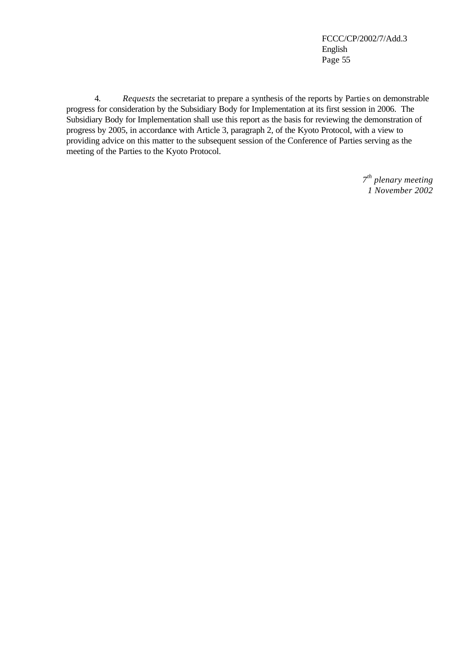4. *Requests* the secretariat to prepare a synthesis of the reports by Partie s on demonstrable progress for consideration by the Subsidiary Body for Implementation at its first session in 2006. The Subsidiary Body for Implementation shall use this report as the basis for reviewing the demonstration of progress by 2005, in accordance with Article 3, paragraph 2, of the Kyoto Protocol, with a view to providing advice on this matter to the subsequent session of the Conference of Parties serving as the meeting of the Parties to the Kyoto Protocol.

> *7 th plenary meeting 1 November 2002*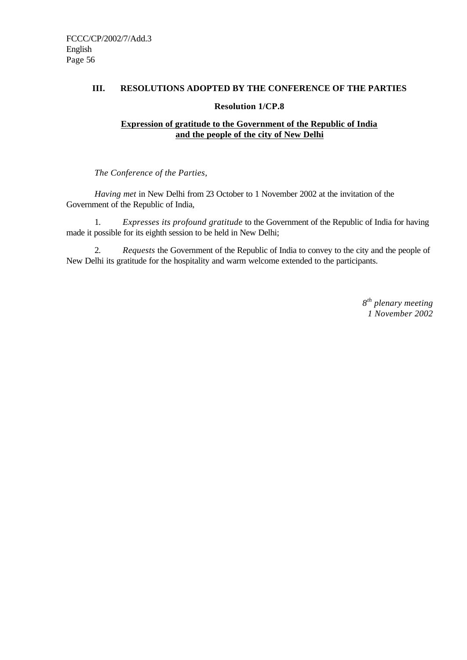### **III. RESOLUTIONS ADOPTED BY THE CONFERENCE OF THE PARTIES**

### **Resolution 1/CP.8**

# **Expression of gratitude to the Government of the Republic of India and the people of the city of New Delhi**

*The Conference of the Parties,*

*Having met* in New Delhi from 23 October to 1 November 2002 at the invitation of the Government of the Republic of India,

1. *Expresses its profound gratitude* to the Government of the Republic of India for having made it possible for its eighth session to be held in New Delhi;

2. *Requests* the Government of the Republic of India to convey to the city and the people of New Delhi its gratitude for the hospitality and warm welcome extended to the participants.

> *8 th plenary meeting 1 November 2002*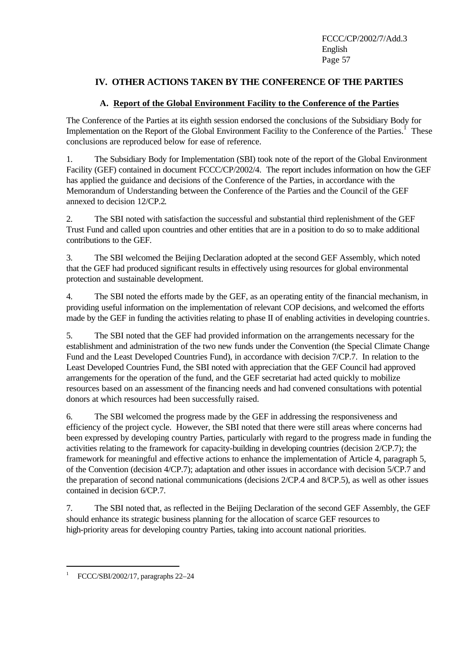# **IV. OTHER ACTIONS TAKEN BY THE CONFERENCE OF THE PARTIES**

# **A. Report of the Global Environment Facility to the Conference of the Parties**

The Conference of the Parties at its eighth session endorsed the conclusions of the Subsidiary Body for Implementation on the Report of the Global Environment Facility to the Conference of the Parties.<sup>1</sup> These conclusions are reproduced below for ease of reference.

1. The Subsidiary Body for Implementation (SBI) took note of the report of the Global Environment Facility (GEF) contained in document FCCC/CP/2002/4. The report includes information on how the GEF has applied the guidance and decisions of the Conference of the Parties, in accordance with the Memorandum of Understanding between the Conference of the Parties and the Council of the GEF annexed to decision 12/CP.2.

2. The SBI noted with satisfaction the successful and substantial third replenishment of the GEF Trust Fund and called upon countries and other entities that are in a position to do so to make additional contributions to the GEF.

3. The SBI welcomed the Beijing Declaration adopted at the second GEF Assembly, which noted that the GEF had produced significant results in effectively using resources for global environmental protection and sustainable development.

4. The SBI noted the efforts made by the GEF, as an operating entity of the financial mechanism, in providing useful information on the implementation of relevant COP decisions, and welcomed the efforts made by the GEF in funding the activities relating to phase II of enabling activities in developing countries.

5. The SBI noted that the GEF had provided information on the arrangements necessary for the establishment and administration of the two new funds under the Convention (the Special Climate Change Fund and the Least Developed Countries Fund), in accordance with decision 7/CP.7. In relation to the Least Developed Countries Fund, the SBI noted with appreciation that the GEF Council had approved arrangements for the operation of the fund, and the GEF secretariat had acted quickly to mobilize resources based on an assessment of the financing needs and had convened consultations with potential donors at which resources had been successfully raised.

6. The SBI welcomed the progress made by the GEF in addressing the responsiveness and efficiency of the project cycle. However, the SBI noted that there were still areas where concerns had been expressed by developing country Parties, particularly with regard to the progress made in funding the activities relating to the framework for capacity-building in developing countries (decision 2/CP.7); the framework for meaningful and effective actions to enhance the implementation of Article 4, paragraph 5, of the Convention (decision 4/CP.7); adaptation and other issues in accordance with decision 5/CP.7 and the preparation of second national communications (decisions 2/CP.4 and 8/CP.5), as well as other issues contained in decision 6/CP.7.

7. The SBI noted that, as reflected in the Beijing Declaration of the second GEF Assembly, the GEF should enhance its strategic business planning for the allocation of scarce GEF resources to high-priority areas for developing country Parties, taking into account national priorities.

j

<sup>1</sup> FCCC/SBI/2002/17, paragraphs 22–24